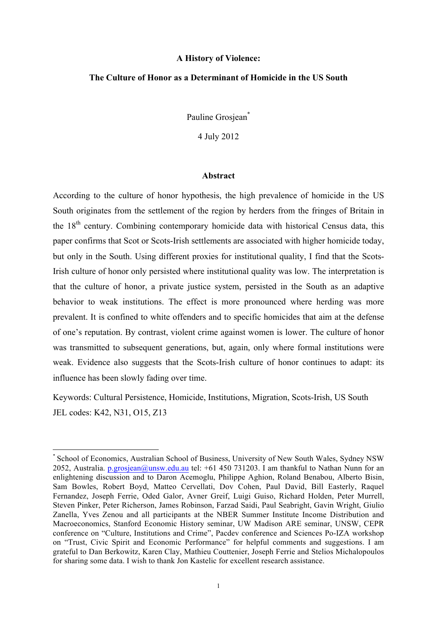#### **A History of Violence:**

#### **The Culture of Honor as a Determinant of Homicide in the US South**

Pauline Grosiean\*

4 July 2012

#### **Abstract**

According to the culture of honor hypothesis, the high prevalence of homicide in the US South originates from the settlement of the region by herders from the fringes of Britain in the  $18<sup>th</sup>$  century. Combining contemporary homicide data with historical Census data, this paper confirms that Scot or Scots-Irish settlements are associated with higher homicide today, but only in the South. Using different proxies for institutional quality, I find that the Scots-Irish culture of honor only persisted where institutional quality was low. The interpretation is that the culture of honor, a private justice system, persisted in the South as an adaptive behavior to weak institutions. The effect is more pronounced where herding was more prevalent. It is confined to white offenders and to specific homicides that aim at the defense of one's reputation. By contrast, violent crime against women is lower. The culture of honor was transmitted to subsequent generations, but, again, only where formal institutions were weak. Evidence also suggests that the Scots-Irish culture of honor continues to adapt: its influence has been slowly fading over time.

Keywords: Cultural Persistence, Homicide, Institutions, Migration, Scots-Irish, US South JEL codes: K42, N31, O15, Z13

 

School of Economics, Australian School of Business, University of New South Wales, Sydney NSW 2052, Australia. p.grosiean@unsw.edu.au tel:  $+61$  450 731203. I am thankful to Nathan Nunn for an enlightening discussion and to Daron Acemoglu, Philippe Aghion, Roland Benabou, Alberto Bisin, Sam Bowles, Robert Boyd, Matteo Cervellati, Dov Cohen, Paul David, Bill Easterly, Raquel Fernandez, Joseph Ferrie, Oded Galor, Avner Greif, Luigi Guiso, Richard Holden, Peter Murrell, Steven Pinker, Peter Richerson, James Robinson, Farzad Saidi, Paul Seabright, Gavin Wright, Giulio Zanella, Yves Zenou and all participants at the NBER Summer Institute Income Distribution and Macroeconomics, Stanford Economic History seminar, UW Madison ARE seminar, UNSW, CEPR conference on "Culture, Institutions and Crime", Pacdev conference and Sciences Po-IZA workshop on "Trust, Civic Spirit and Economic Performance" for helpful comments and suggestions. I am grateful to Dan Berkowitz, Karen Clay, Mathieu Couttenier, Joseph Ferrie and Stelios Michalopoulos for sharing some data. I wish to thank Jon Kastelic for excellent research assistance.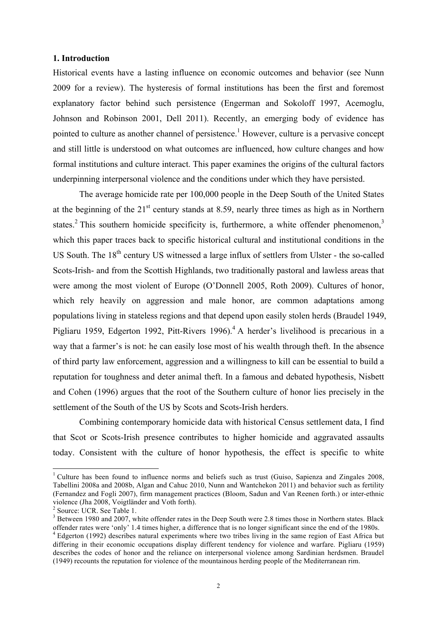#### **1. Introduction**

Historical events have a lasting influence on economic outcomes and behavior (see Nunn 2009 for a review). The hysteresis of formal institutions has been the first and foremost explanatory factor behind such persistence (Engerman and Sokoloff 1997, Acemoglu, Johnson and Robinson 2001, Dell 2011). Recently, an emerging body of evidence has pointed to culture as another channel of persistence.<sup>1</sup> However, culture is a pervasive concept and still little is understood on what outcomes are influenced, how culture changes and how formal institutions and culture interact. This paper examines the origins of the cultural factors underpinning interpersonal violence and the conditions under which they have persisted.

The average homicide rate per 100,000 people in the Deep South of the United States at the beginning of the  $21<sup>st</sup>$  century stands at 8.59, nearly three times as high as in Northern states.<sup>2</sup> This southern homicide specificity is, furthermore, a white offender phenomenon,<sup>3</sup> which this paper traces back to specific historical cultural and institutional conditions in the US South. The 18<sup>th</sup> century US witnessed a large influx of settlers from Ulster - the so-called Scots-Irish- and from the Scottish Highlands, two traditionally pastoral and lawless areas that were among the most violent of Europe (O'Donnell 2005, Roth 2009). Cultures of honor, which rely heavily on aggression and male honor, are common adaptations among populations living in stateless regions and that depend upon easily stolen herds (Braudel 1949, Pigliaru 1959, Edgerton 1992, Pitt-Rivers 1996).<sup>4</sup> A herder's livelihood is precarious in a way that a farmer's is not: he can easily lose most of his wealth through theft. In the absence of third party law enforcement, aggression and a willingness to kill can be essential to build a reputation for toughness and deter animal theft. In a famous and debated hypothesis, Nisbett and Cohen (1996) argues that the root of the Southern culture of honor lies precisely in the settlement of the South of the US by Scots and Scots-Irish herders.

Combining contemporary homicide data with historical Census settlement data, I find that Scot or Scots-Irish presence contributes to higher homicide and aggravated assaults today. Consistent with the culture of honor hypothesis, the effect is specific to white

<sup>&</sup>lt;sup>1</sup> Culture has been found to influence norms and beliefs such as trust (Guiso, Sapienza and Zingales 2008, Tabellini 2008a and 2008b, Algan and Cahuc 2010, Nunn and Wantchekon 2011) and behavior such as fertility (Fernandez and Fogli 2007), firm management practices (Bloom, Sadun and Van Reenen forth.) or inter-ethnic violence (Jha 2008, Voigtländer and Voth forth). <sup>2</sup> Source: UCR. See Table 1.

<sup>&</sup>lt;sup>3</sup> Between 1980 and 2007, white offender rates in the Deep South were 2.8 times those in Northern states. Black offender rates were 'only' 1.4 times higher, a difference that is no longer significant since the end of the

<sup>&</sup>lt;sup>4</sup> Edgerton (1992) describes natural experiments where two tribes living in the same region of East Africa but differing in their economic occupations display different tendency for violence and warfare. Pigliaru (1959) describes the codes of honor and the reliance on interpersonal violence among Sardinian herdsmen. Braudel (1949) recounts the reputation for violence of the mountainous herding people of the Mediterranean rim.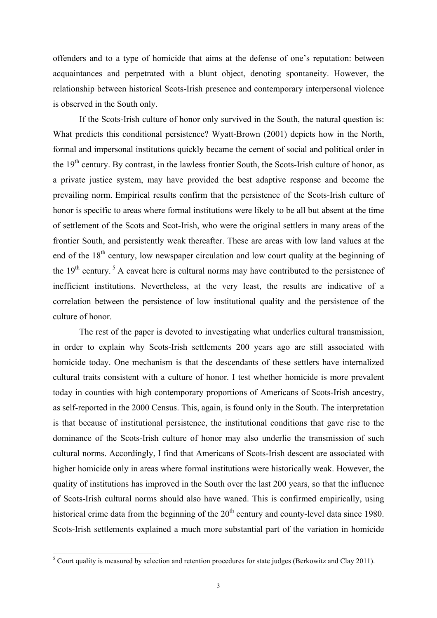offenders and to a type of homicide that aims at the defense of one's reputation: between acquaintances and perpetrated with a blunt object, denoting spontaneity. However, the relationship between historical Scots-Irish presence and contemporary interpersonal violence is observed in the South only.

If the Scots-Irish culture of honor only survived in the South, the natural question is: What predicts this conditional persistence? Wyatt-Brown (2001) depicts how in the North, formal and impersonal institutions quickly became the cement of social and political order in the  $19<sup>th</sup>$  century. By contrast, in the lawless frontier South, the Scots-Irish culture of honor, as a private justice system, may have provided the best adaptive response and become the prevailing norm. Empirical results confirm that the persistence of the Scots-Irish culture of honor is specific to areas where formal institutions were likely to be all but absent at the time of settlement of the Scots and Scot-Irish, who were the original settlers in many areas of the frontier South, and persistently weak thereafter. These are areas with low land values at the end of the  $18<sup>th</sup>$  century, low newspaper circulation and low court quality at the beginning of the  $19<sup>th</sup>$  century.<sup>5</sup> A caveat here is cultural norms may have contributed to the persistence of inefficient institutions. Nevertheless, at the very least, the results are indicative of a correlation between the persistence of low institutional quality and the persistence of the culture of honor.

The rest of the paper is devoted to investigating what underlies cultural transmission, in order to explain why Scots-Irish settlements 200 years ago are still associated with homicide today. One mechanism is that the descendants of these settlers have internalized cultural traits consistent with a culture of honor. I test whether homicide is more prevalent today in counties with high contemporary proportions of Americans of Scots-Irish ancestry, as self-reported in the 2000 Census. This, again, is found only in the South. The interpretation is that because of institutional persistence, the institutional conditions that gave rise to the dominance of the Scots-Irish culture of honor may also underlie the transmission of such cultural norms. Accordingly, I find that Americans of Scots-Irish descent are associated with higher homicide only in areas where formal institutions were historically weak. However, the quality of institutions has improved in the South over the last 200 years, so that the influence of Scots-Irish cultural norms should also have waned. This is confirmed empirically, using historical crime data from the beginning of the  $20<sup>th</sup>$  century and county-level data since 1980. Scots-Irish settlements explained a much more substantial part of the variation in homicide

<sup>&</sup>lt;sup>5</sup> Court quality is measured by selection and retention procedures for state judges (Berkowitz and Clay 2011).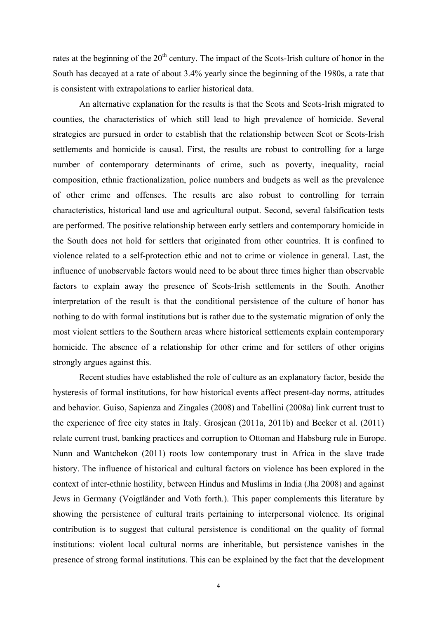rates at the beginning of the 20<sup>th</sup> century. The impact of the Scots-Irish culture of honor in the South has decayed at a rate of about 3.4% yearly since the beginning of the 1980s, a rate that is consistent with extrapolations to earlier historical data.

An alternative explanation for the results is that the Scots and Scots-Irish migrated to counties, the characteristics of which still lead to high prevalence of homicide. Several strategies are pursued in order to establish that the relationship between Scot or Scots-Irish settlements and homicide is causal. First, the results are robust to controlling for a large number of contemporary determinants of crime, such as poverty, inequality, racial composition, ethnic fractionalization, police numbers and budgets as well as the prevalence of other crime and offenses. The results are also robust to controlling for terrain characteristics, historical land use and agricultural output. Second, several falsification tests are performed. The positive relationship between early settlers and contemporary homicide in the South does not hold for settlers that originated from other countries. It is confined to violence related to a self-protection ethic and not to crime or violence in general. Last, the influence of unobservable factors would need to be about three times higher than observable factors to explain away the presence of Scots-Irish settlements in the South. Another interpretation of the result is that the conditional persistence of the culture of honor has nothing to do with formal institutions but is rather due to the systematic migration of only the most violent settlers to the Southern areas where historical settlements explain contemporary homicide. The absence of a relationship for other crime and for settlers of other origins strongly argues against this.

Recent studies have established the role of culture as an explanatory factor, beside the hysteresis of formal institutions, for how historical events affect present-day norms, attitudes and behavior. Guiso, Sapienza and Zingales (2008) and Tabellini (2008a) link current trust to the experience of free city states in Italy. Grosjean (2011a, 2011b) and Becker et al. (2011) relate current trust, banking practices and corruption to Ottoman and Habsburg rule in Europe. Nunn and Wantchekon (2011) roots low contemporary trust in Africa in the slave trade history. The influence of historical and cultural factors on violence has been explored in the context of inter-ethnic hostility, between Hindus and Muslims in India (Jha 2008) and against Jews in Germany (Voigtländer and Voth forth.). This paper complements this literature by showing the persistence of cultural traits pertaining to interpersonal violence. Its original contribution is to suggest that cultural persistence is conditional on the quality of formal institutions: violent local cultural norms are inheritable, but persistence vanishes in the presence of strong formal institutions. This can be explained by the fact that the development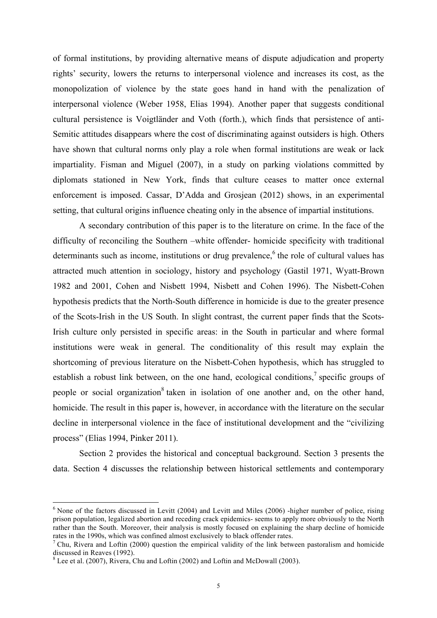of formal institutions, by providing alternative means of dispute adjudication and property rights' security, lowers the returns to interpersonal violence and increases its cost, as the monopolization of violence by the state goes hand in hand with the penalization of interpersonal violence (Weber 1958, Elias 1994). Another paper that suggests conditional cultural persistence is Voigtländer and Voth (forth.), which finds that persistence of anti-Semitic attitudes disappears where the cost of discriminating against outsiders is high. Others have shown that cultural norms only play a role when formal institutions are weak or lack impartiality. Fisman and Miguel (2007), in a study on parking violations committed by diplomats stationed in New York, finds that culture ceases to matter once external enforcement is imposed. Cassar, D'Adda and Grosjean (2012) shows, in an experimental setting, that cultural origins influence cheating only in the absence of impartial institutions.

A secondary contribution of this paper is to the literature on crime. In the face of the difficulty of reconciling the Southern –white offender- homicide specificity with traditional determinants such as income, institutions or drug prevalence,<sup>6</sup> the role of cultural values has attracted much attention in sociology, history and psychology (Gastil 1971, Wyatt-Brown 1982 and 2001, Cohen and Nisbett 1994, Nisbett and Cohen 1996). The Nisbett-Cohen hypothesis predicts that the North-South difference in homicide is due to the greater presence of the Scots-Irish in the US South. In slight contrast, the current paper finds that the Scots-Irish culture only persisted in specific areas: in the South in particular and where formal institutions were weak in general. The conditionality of this result may explain the shortcoming of previous literature on the Nisbett-Cohen hypothesis, which has struggled to establish a robust link between, on the one hand, ecological conditions,<sup>7</sup> specific groups of people or social organization<sup>8</sup> taken in isolation of one another and, on the other hand, homicide. The result in this paper is, however, in accordance with the literature on the secular decline in interpersonal violence in the face of institutional development and the "civilizing process" (Elias 1994, Pinker 2011).

Section 2 provides the historical and conceptual background. Section 3 presents the data. Section 4 discusses the relationship between historical settlements and contemporary

<sup>&</sup>lt;sup>6</sup> None of the factors discussed in Levitt (2004) and Levitt and Miles (2006) -higher number of police, rising prison population, legalized abortion and receding crack epidemics- seems to apply more obviously to the North rather than the South. Moreover, their analysis is mostly focused on explaining the sharp decline of homicide rates in the 1990s, which was confined almost exclusively to black offender rates.<br><sup>7</sup> Chu, Rivera and Loftin (2000) question the empirical validity of the link between pastoralism and homicide

discussed in Reaves (1992).

 $8$  Lee et al. (2007), Rivera, Chu and Loftin (2002) and Loftin and McDowall (2003).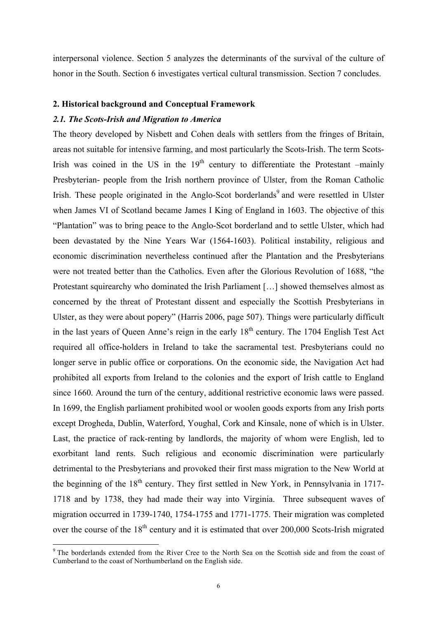interpersonal violence. Section 5 analyzes the determinants of the survival of the culture of honor in the South. Section 6 investigates vertical cultural transmission. Section 7 concludes.

#### **2. Historical background and Conceptual Framework**

#### *2.1. The Scots-Irish and Migration to America*

The theory developed by Nisbett and Cohen deals with settlers from the fringes of Britain, areas not suitable for intensive farming, and most particularly the Scots-Irish. The term Scots-Irish was coined in the US in the  $19<sup>th</sup>$  century to differentiate the Protestant –mainly Presbyterian- people from the Irish northern province of Ulster, from the Roman Catholic Irish. These people originated in the Anglo-Scot borderlands<sup>9</sup> and were resettled in Ulster when James VI of Scotland became James I King of England in 1603. The objective of this "Plantation" was to bring peace to the Anglo-Scot borderland and to settle Ulster, which had been devastated by the Nine Years War (1564-1603). Political instability, religious and economic discrimination nevertheless continued after the Plantation and the Presbyterians were not treated better than the Catholics. Even after the Glorious Revolution of 1688, "the Protestant squirearchy who dominated the Irish Parliament […] showed themselves almost as concerned by the threat of Protestant dissent and especially the Scottish Presbyterians in Ulster, as they were about popery" (Harris 2006, page 507). Things were particularly difficult in the last years of Queen Anne's reign in the early  $18<sup>th</sup>$  century. The 1704 English Test Act required all office-holders in Ireland to take the sacramental test. Presbyterians could no longer serve in public office or corporations. On the economic side, the Navigation Act had prohibited all exports from Ireland to the colonies and the export of Irish cattle to England since 1660. Around the turn of the century, additional restrictive economic laws were passed. In 1699, the English parliament prohibited wool or woolen goods exports from any Irish ports except Drogheda, Dublin, Waterford, Youghal, Cork and Kinsale, none of which is in Ulster. Last, the practice of rack-renting by landlords, the majority of whom were English, led to exorbitant land rents. Such religious and economic discrimination were particularly detrimental to the Presbyterians and provoked their first mass migration to the New World at the beginning of the  $18<sup>th</sup>$  century. They first settled in New York, in Pennsylvania in 1717-1718 and by 1738, they had made their way into Virginia. Three subsequent waves of migration occurred in 1739-1740, 1754-1755 and 1771-1775. Their migration was completed over the course of the 18<sup>th</sup> century and it is estimated that over 200,000 Scots-Irish migrated

<sup>&</sup>lt;sup>9</sup> The borderlands extended from the River Cree to the North Sea on the Scottish side and from the coast of Cumberland to the coast of Northumberland on the English side.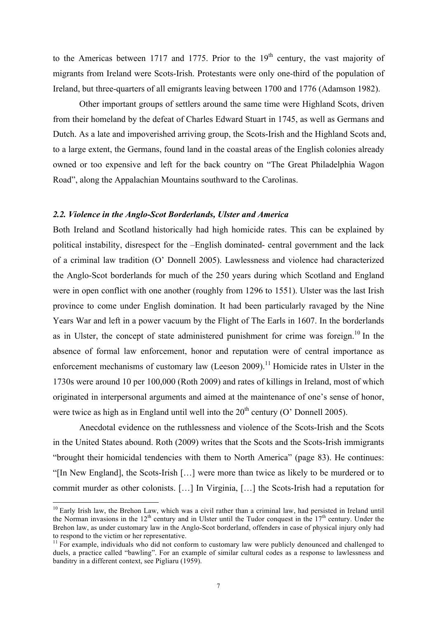to the Americas between 1717 and 1775. Prior to the  $19<sup>th</sup>$  century, the vast majority of migrants from Ireland were Scots-Irish. Protestants were only one-third of the population of Ireland, but three-quarters of all emigrants leaving between 1700 and 1776 (Adamson 1982).

Other important groups of settlers around the same time were Highland Scots, driven from their homeland by the defeat of Charles Edward Stuart in 1745, as well as Germans and Dutch. As a late and impoverished arriving group, the Scots-Irish and the Highland Scots and, to a large extent, the Germans, found land in the coastal areas of the English colonies already owned or too expensive and left for the back country on "The Great Philadelphia Wagon Road", along the Appalachian Mountains southward to the Carolinas.

#### *2.2. Violence in the Anglo-Scot Borderlands, Ulster and America*

Both Ireland and Scotland historically had high homicide rates. This can be explained by political instability, disrespect for the –English dominated- central government and the lack of a criminal law tradition (O' Donnell 2005). Lawlessness and violence had characterized the Anglo-Scot borderlands for much of the 250 years during which Scotland and England were in open conflict with one another (roughly from 1296 to 1551). Ulster was the last Irish province to come under English domination. It had been particularly ravaged by the Nine Years War and left in a power vacuum by the Flight of The Earls in 1607. In the borderlands as in Ulster, the concept of state administered punishment for crime was foreign.<sup>10</sup> In the absence of formal law enforcement, honor and reputation were of central importance as enforcement mechanisms of customary law (Leeson 2009).<sup>11</sup> Homicide rates in Ulster in the 1730s were around 10 per 100,000 (Roth 2009) and rates of killings in Ireland, most of which originated in interpersonal arguments and aimed at the maintenance of one's sense of honor, were twice as high as in England until well into the  $20<sup>th</sup>$  century (O' Donnell 2005).

Anecdotal evidence on the ruthlessness and violence of the Scots-Irish and the Scots in the United States abound. Roth (2009) writes that the Scots and the Scots-Irish immigrants "brought their homicidal tendencies with them to North America" (page 83). He continues: "[In New England], the Scots-Irish […] were more than twice as likely to be murdered or to commit murder as other colonists. […] In Virginia, […] the Scots-Irish had a reputation for

 $10$  Early Irish law, the Brehon Law, which was a civil rather than a criminal law, had persisted in Ireland until the Norman invasions in the  $12<sup>th</sup>$  century and in Ulster until the Tudor conquest in the  $17<sup>th</sup>$  century. Under the Brehon law, as under customary law in the Anglo-Scot borderland, offenders in case of physical injury only had to respond to the victim or her representative.

 $11$  For example, individuals who did not conform to customary law were publicly denounced and challenged to duels, a practice called "bawling". For an example of similar cultural codes as a response to lawlessness and banditry in a different context, see Pigliaru (1959).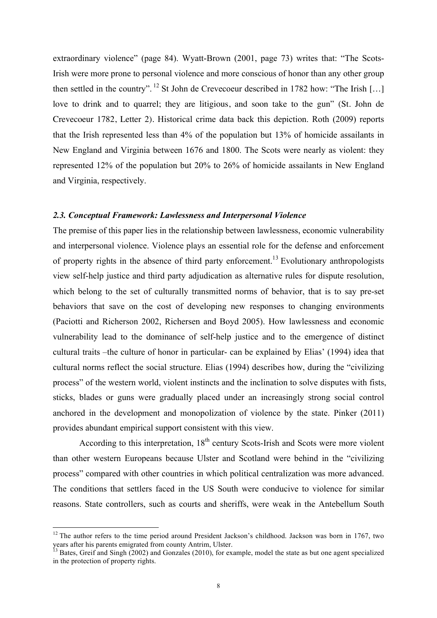extraordinary violence" (page 84). Wyatt-Brown (2001, page 73) writes that: "The Scots-Irish were more prone to personal violence and more conscious of honor than any other group then settled in the country". <sup>12</sup> St John de Crevecoeur described in 1782 how: "The Irish [...] love to drink and to quarrel; they are litigious, and soon take to the gun" (St. John de Crevecoeur 1782, Letter 2). Historical crime data back this depiction. Roth (2009) reports that the Irish represented less than 4% of the population but 13% of homicide assailants in New England and Virginia between 1676 and 1800. The Scots were nearly as violent: they represented 12% of the population but 20% to 26% of homicide assailants in New England and Virginia, respectively.

#### *2.3. Conceptual Framework: Lawlessness and Interpersonal Violence*

The premise of this paper lies in the relationship between lawlessness, economic vulnerability and interpersonal violence. Violence plays an essential role for the defense and enforcement of property rights in the absence of third party enforcement.<sup>13</sup> Evolutionary anthropologists view self-help justice and third party adjudication as alternative rules for dispute resolution, which belong to the set of culturally transmitted norms of behavior, that is to say pre-set behaviors that save on the cost of developing new responses to changing environments (Paciotti and Richerson 2002, Richersen and Boyd 2005). How lawlessness and economic vulnerability lead to the dominance of self-help justice and to the emergence of distinct cultural traits –the culture of honor in particular- can be explained by Elias' (1994) idea that cultural norms reflect the social structure. Elias (1994) describes how, during the "civilizing process" of the western world, violent instincts and the inclination to solve disputes with fists, sticks, blades or guns were gradually placed under an increasingly strong social control anchored in the development and monopolization of violence by the state. Pinker (2011) provides abundant empirical support consistent with this view.

According to this interpretation,  $18<sup>th</sup>$  century Scots-Irish and Scots were more violent than other western Europeans because Ulster and Scotland were behind in the "civilizing process" compared with other countries in which political centralization was more advanced. The conditions that settlers faced in the US South were conducive to violence for similar reasons. State controllers, such as courts and sheriffs, were weak in the Antebellum South

<sup>&</sup>lt;sup>12</sup> The author refers to the time period around President Jackson's childhood. Jackson was born in 1767, two years after his parents emigrated from county Antrim, Ulster.

 $3$  Bates, Greif and Singh (2002) and Gonzales (2010), for example, model the state as but one agent specialized in the protection of property rights.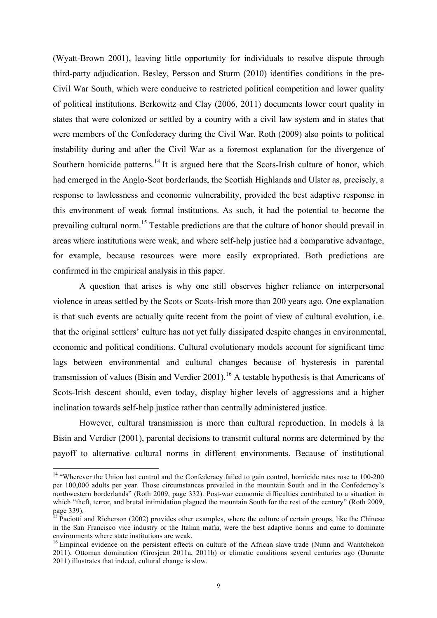(Wyatt-Brown 2001), leaving little opportunity for individuals to resolve dispute through third-party adjudication. Besley, Persson and Sturm (2010) identifies conditions in the pre-Civil War South, which were conducive to restricted political competition and lower quality of political institutions. Berkowitz and Clay (2006, 2011) documents lower court quality in states that were colonized or settled by a country with a civil law system and in states that were members of the Confederacy during the Civil War. Roth (2009) also points to political instability during and after the Civil War as a foremost explanation for the divergence of Southern homicide patterns.<sup>14</sup> It is argued here that the Scots-Irish culture of honor, which had emerged in the Anglo-Scot borderlands, the Scottish Highlands and Ulster as, precisely, a response to lawlessness and economic vulnerability, provided the best adaptive response in this environment of weak formal institutions. As such, it had the potential to become the prevailing cultural norm.<sup>15</sup> Testable predictions are that the culture of honor should prevail in areas where institutions were weak, and where self-help justice had a comparative advantage, for example, because resources were more easily expropriated. Both predictions are confirmed in the empirical analysis in this paper.

A question that arises is why one still observes higher reliance on interpersonal violence in areas settled by the Scots or Scots-Irish more than 200 years ago. One explanation is that such events are actually quite recent from the point of view of cultural evolution, i.e. that the original settlers' culture has not yet fully dissipated despite changes in environmental, economic and political conditions. Cultural evolutionary models account for significant time lags between environmental and cultural changes because of hysteresis in parental transmission of values (Bisin and Verdier 2001).<sup>16</sup> A testable hypothesis is that Americans of Scots-Irish descent should, even today, display higher levels of aggressions and a higher inclination towards self-help justice rather than centrally administered justice.

However, cultural transmission is more than cultural reproduction. In models à la Bisin and Verdier (2001), parental decisions to transmit cultural norms are determined by the payoff to alternative cultural norms in different environments. Because of institutional

<sup>&</sup>lt;sup>14</sup> "Wherever the Union lost control and the Confederacy failed to gain control, homicide rates rose to 100-200 per 100,000 adults per year. Those circumstances prevailed in the mountain South and in the Confederacy's northwestern borderlands" (Roth 2009, page 332). Post-war economic difficulties contributed to a situation in which "theft, terror, and brutal intimidation plagued the mountain South for the rest of the century" (Roth 2009, page 339).

<sup>&</sup>lt;sup>15</sup> Paciotti and Richerson (2002) provides other examples, where the culture of certain groups, like the Chinese in the San Francisco vice industry or the Italian mafia, were the best adaptive norms and came to dominate environments where state institutions are weak.<br><sup>16</sup> Empirical evidence on the persistent effects on culture of the African slave trade (Nunn and Wantchekon

<sup>2011),</sup> Ottoman domination (Grosjean 2011a, 2011b) or climatic conditions several centuries ago (Durante 2011) illustrates that indeed, cultural change is slow.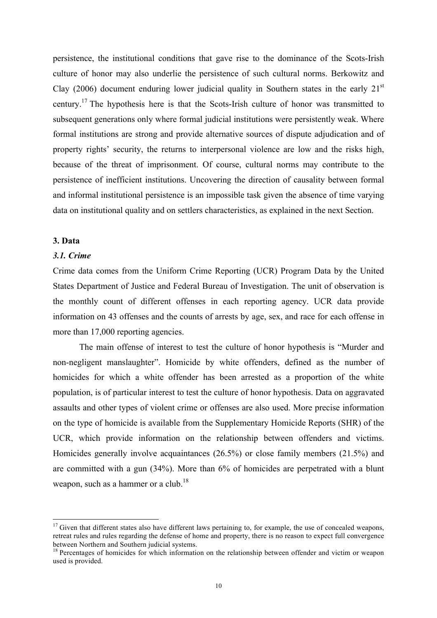persistence, the institutional conditions that gave rise to the dominance of the Scots-Irish culture of honor may also underlie the persistence of such cultural norms. Berkowitz and Clay (2006) document enduring lower judicial quality in Southern states in the early  $21<sup>st</sup>$ century.17 The hypothesis here is that the Scots-Irish culture of honor was transmitted to subsequent generations only where formal judicial institutions were persistently weak. Where formal institutions are strong and provide alternative sources of dispute adjudication and of property rights' security, the returns to interpersonal violence are low and the risks high, because of the threat of imprisonment. Of course, cultural norms may contribute to the persistence of inefficient institutions. Uncovering the direction of causality between formal and informal institutional persistence is an impossible task given the absence of time varying data on institutional quality and on settlers characteristics, as explained in the next Section.

#### **3. Data**

#### *3.1. Crime*

Crime data comes from the Uniform Crime Reporting (UCR) Program Data by the United States Department of Justice and Federal Bureau of Investigation. The unit of observation is the monthly count of different offenses in each reporting agency. UCR data provide information on 43 offenses and the counts of arrests by age, sex, and race for each offense in more than 17,000 reporting agencies.

The main offense of interest to test the culture of honor hypothesis is "Murder and non-negligent manslaughter". Homicide by white offenders, defined as the number of homicides for which a white offender has been arrested as a proportion of the white population, is of particular interest to test the culture of honor hypothesis. Data on aggravated assaults and other types of violent crime or offenses are also used. More precise information on the type of homicide is available from the Supplementary Homicide Reports (SHR) of the UCR, which provide information on the relationship between offenders and victims. Homicides generally involve acquaintances (26.5%) or close family members (21.5%) and are committed with a gun (34%). More than 6% of homicides are perpetrated with a blunt weapon, such as a hammer or a club.<sup>18</sup>

 $17$  Given that different states also have different laws pertaining to, for example, the use of concealed weapons. retreat rules and rules regarding the defense of home and property, there is no reason to expect full convergence between Northern and Southern judicial systems.

<sup>&</sup>lt;sup>18</sup> Percentages of homicides for which information on the relationship between offender and victim or weapon used is provided.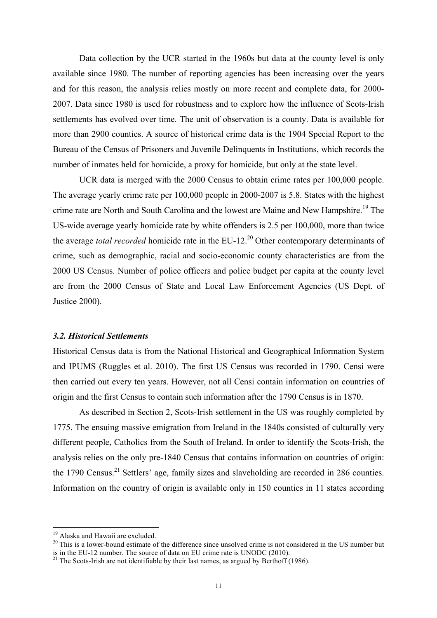Data collection by the UCR started in the 1960s but data at the county level is only available since 1980. The number of reporting agencies has been increasing over the years and for this reason, the analysis relies mostly on more recent and complete data, for 2000- 2007. Data since 1980 is used for robustness and to explore how the influence of Scots-Irish settlements has evolved over time. The unit of observation is a county. Data is available for more than 2900 counties. A source of historical crime data is the 1904 Special Report to the Bureau of the Census of Prisoners and Juvenile Delinquents in Institutions, which records the number of inmates held for homicide, a proxy for homicide, but only at the state level.

UCR data is merged with the 2000 Census to obtain crime rates per 100,000 people. The average yearly crime rate per 100,000 people in 2000-2007 is 5.8. States with the highest crime rate are North and South Carolina and the lowest are Maine and New Hampshire.<sup>19</sup> The US-wide average yearly homicide rate by white offenders is 2.5 per 100,000, more than twice the average *total recorded* homicide rate in the EU-12<sup>20</sup> Other contemporary determinants of crime, such as demographic, racial and socio-economic county characteristics are from the 2000 US Census. Number of police officers and police budget per capita at the county level are from the 2000 Census of State and Local Law Enforcement Agencies (US Dept. of Justice 2000).

#### *3.2. Historical Settlements*

Historical Census data is from the National Historical and Geographical Information System and IPUMS (Ruggles et al. 2010). The first US Census was recorded in 1790. Censi were then carried out every ten years. However, not all Censi contain information on countries of origin and the first Census to contain such information after the 1790 Census is in 1870.

As described in Section 2, Scots-Irish settlement in the US was roughly completed by 1775. The ensuing massive emigration from Ireland in the 1840s consisted of culturally very different people, Catholics from the South of Ireland. In order to identify the Scots-Irish, the analysis relies on the only pre-1840 Census that contains information on countries of origin: the 1790 Census.<sup>21</sup> Settlers' age, family sizes and slaveholding are recorded in 286 counties. Information on the country of origin is available only in 150 counties in 11 states according

<sup>&</sup>lt;sup>19</sup> Alaska and Hawaii are excluded.<br><sup>20</sup> This is a lower-bound estimate of the difference since unsolved crime is not considered in the US number but is in the EU-12 number. The source of data on EU crime rate is UNODC (2010). <sup>21</sup> The Scots-Irish are not identifiable by their last names, as argued by Berthoff (1986).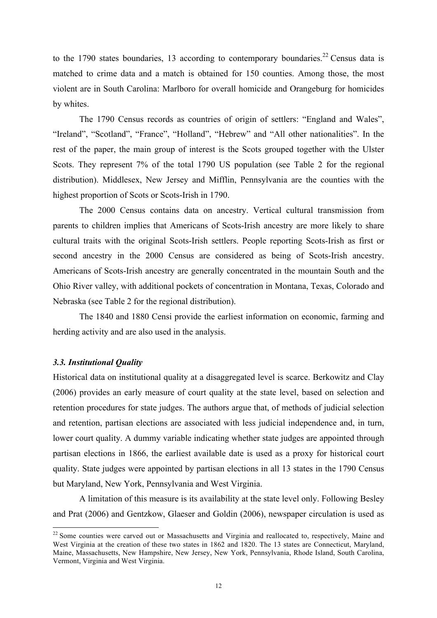to the 1790 states boundaries, 13 according to contemporary boundaries.<sup>22</sup> Census data is matched to crime data and a match is obtained for 150 counties. Among those, the most violent are in South Carolina: Marlboro for overall homicide and Orangeburg for homicides by whites.

The 1790 Census records as countries of origin of settlers: "England and Wales", "Ireland", "Scotland", "France", "Holland", "Hebrew" and "All other nationalities". In the rest of the paper, the main group of interest is the Scots grouped together with the Ulster Scots. They represent 7% of the total 1790 US population (see Table 2 for the regional distribution). Middlesex, New Jersey and Mifflin, Pennsylvania are the counties with the highest proportion of Scots or Scots-Irish in 1790.

The 2000 Census contains data on ancestry. Vertical cultural transmission from parents to children implies that Americans of Scots-Irish ancestry are more likely to share cultural traits with the original Scots-Irish settlers. People reporting Scots-Irish as first or second ancestry in the 2000 Census are considered as being of Scots-Irish ancestry. Americans of Scots-Irish ancestry are generally concentrated in the mountain South and the Ohio River valley, with additional pockets of concentration in Montana, Texas, Colorado and Nebraska (see Table 2 for the regional distribution).

The 1840 and 1880 Censi provide the earliest information on economic, farming and herding activity and are also used in the analysis.

#### *3.3. Institutional Quality*

Historical data on institutional quality at a disaggregated level is scarce. Berkowitz and Clay (2006) provides an early measure of court quality at the state level, based on selection and retention procedures for state judges. The authors argue that, of methods of judicial selection and retention, partisan elections are associated with less judicial independence and, in turn, lower court quality. A dummy variable indicating whether state judges are appointed through partisan elections in 1866, the earliest available date is used as a proxy for historical court quality. State judges were appointed by partisan elections in all 13 states in the 1790 Census but Maryland, New York, Pennsylvania and West Virginia.

A limitation of this measure is its availability at the state level only. Following Besley and Prat (2006) and Gentzkow, Glaeser and Goldin (2006), newspaper circulation is used as

<sup>&</sup>lt;sup>22</sup> Some counties were carved out or Massachusetts and Virginia and reallocated to, respectively, Maine and West Virginia at the creation of these two states in 1862 and 1820. The 13 states are Connecticut, Maryland, Maine, Massachusetts, New Hampshire, New Jersey, New York, Pennsylvania, Rhode Island, South Carolina, Vermont, Virginia and West Virginia.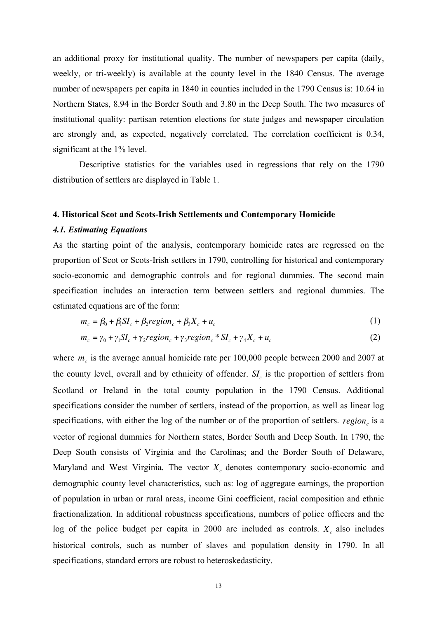an additional proxy for institutional quality. The number of newspapers per capita (daily, weekly, or tri-weekly) is available at the county level in the 1840 Census. The average number of newspapers per capita in 1840 in counties included in the 1790 Census is: 10.64 in Northern States, 8.94 in the Border South and 3.80 in the Deep South. The two measures of institutional quality: partisan retention elections for state judges and newspaper circulation are strongly and, as expected, negatively correlated. The correlation coefficient is 0.34, significant at the 1% level.

Descriptive statistics for the variables used in regressions that rely on the 1790 distribution of settlers are displayed in Table 1.

#### **4. Historical Scot and Scots-Irish Settlements and Contemporary Homicide**

#### *4.1. Estimating Equations*

As the starting point of the analysis, contemporary homicide rates are regressed on the proportion of Scot or Scots-Irish settlers in 1790, controlling for historical and contemporary socio-economic and demographic controls and for regional dummies. The second main specification includes an interaction term between settlers and regional dummies. The estimated equations are of the form:

$$
m_c = \beta_0 + \beta_1 SI_c + \beta_2 region_c + \beta_3 X_c + u_c \tag{1}
$$

$$
m_c = \gamma_0 + \gamma_1 SI_c + \gamma_2 region_c + \gamma_3 region_c * SI_c + \gamma_4 X_c + u_c
$$
 (2)

where  $m_c$  is the average annual homicide rate per 100,000 people between 2000 and 2007 at the county level, overall and by ethnicity of offender.  $SI_c$  is the proportion of settlers from Scotland or Ireland in the total county population in the 1790 Census. Additional specifications consider the number of settlers, instead of the proportion, as well as linear log specifications, with either the log of the number or of the proportion of settlers.  $region$  is a vector of regional dummies for Northern states, Border South and Deep South. In 1790, the Deep South consists of Virginia and the Carolinas; and the Border South of Delaware, Maryland and West Virginia. The vector  $X_c$  denotes contemporary socio-economic and demographic county level characteristics, such as: log of aggregate earnings, the proportion of population in urban or rural areas, income Gini coefficient, racial composition and ethnic fractionalization. In additional robustness specifications, numbers of police officers and the log of the police budget per capita in 2000 are included as controls.  $X_c$  also includes historical controls, such as number of slaves and population density in 1790. In all specifications, standard errors are robust to heteroskedasticity. *region*<sub>c</sub>  $X_c$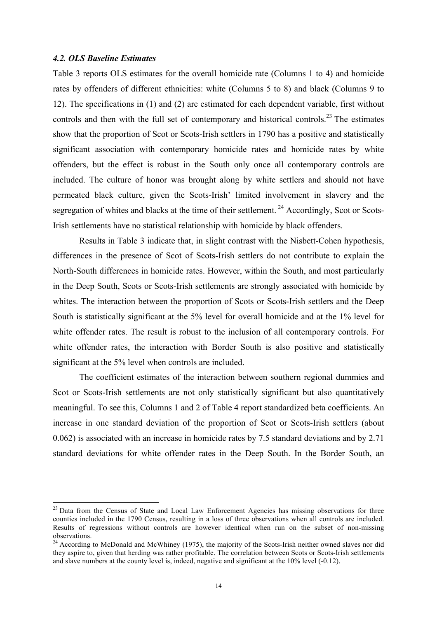#### *4.2. OLS Baseline Estimates*

Table 3 reports OLS estimates for the overall homicide rate (Columns 1 to 4) and homicide rates by offenders of different ethnicities: white (Columns 5 to 8) and black (Columns 9 to 12). The specifications in (1) and (2) are estimated for each dependent variable, first without controls and then with the full set of contemporary and historical controls.<sup>23</sup> The estimates show that the proportion of Scot or Scots-Irish settlers in 1790 has a positive and statistically significant association with contemporary homicide rates and homicide rates by white offenders, but the effect is robust in the South only once all contemporary controls are included. The culture of honor was brought along by white settlers and should not have permeated black culture, given the Scots-Irish' limited involvement in slavery and the segregation of whites and blacks at the time of their settlement.<sup>24</sup> Accordingly, Scot or Scots-Irish settlements have no statistical relationship with homicide by black offenders.

Results in Table 3 indicate that, in slight contrast with the Nisbett-Cohen hypothesis, differences in the presence of Scot of Scots-Irish settlers do not contribute to explain the North-South differences in homicide rates. However, within the South, and most particularly in the Deep South, Scots or Scots-Irish settlements are strongly associated with homicide by whites. The interaction between the proportion of Scots or Scots-Irish settlers and the Deep South is statistically significant at the 5% level for overall homicide and at the 1% level for white offender rates. The result is robust to the inclusion of all contemporary controls. For white offender rates, the interaction with Border South is also positive and statistically significant at the 5% level when controls are included.

The coefficient estimates of the interaction between southern regional dummies and Scot or Scots-Irish settlements are not only statistically significant but also quantitatively meaningful. To see this, Columns 1 and 2 of Table 4 report standardized beta coefficients. An increase in one standard deviation of the proportion of Scot or Scots-Irish settlers (about 0.062) is associated with an increase in homicide rates by 7.5 standard deviations and by 2.71 standard deviations for white offender rates in the Deep South. In the Border South, an

<sup>&</sup>lt;sup>23</sup> Data from the Census of State and Local Law Enforcement Agencies has missing observations for three counties included in the 1790 Census, resulting in a loss of three observations when all controls are included. Results of regressions without controls are however identical when run on the subset of non-missing observations.

<sup>&</sup>lt;sup>24</sup> According to McDonald and McWhiney (1975), the majority of the Scots-Irish neither owned slaves nor did they aspire to, given that herding was rather profitable. The correlation between Scots or Scots-Irish settlements and slave numbers at the county level is, indeed, negative and significant at the 10% level (-0.12).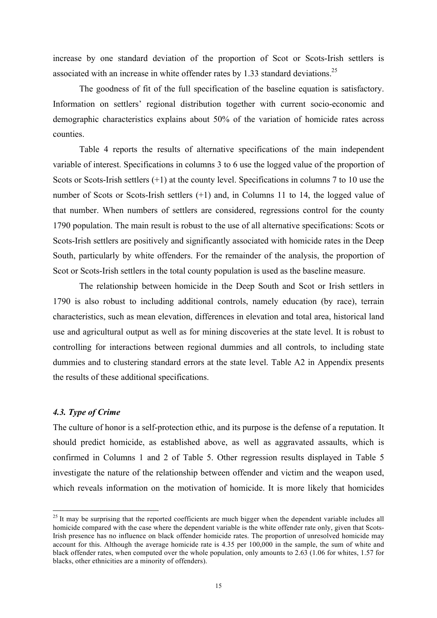increase by one standard deviation of the proportion of Scot or Scots-Irish settlers is associated with an increase in white offender rates by 1.33 standard deviations.<sup>25</sup>

The goodness of fit of the full specification of the baseline equation is satisfactory. Information on settlers' regional distribution together with current socio-economic and demographic characteristics explains about 50% of the variation of homicide rates across counties.

Table 4 reports the results of alternative specifications of the main independent variable of interest. Specifications in columns 3 to 6 use the logged value of the proportion of Scots or Scots-Irish settlers (+1) at the county level. Specifications in columns 7 to 10 use the number of Scots or Scots-Irish settlers (+1) and, in Columns 11 to 14, the logged value of that number. When numbers of settlers are considered, regressions control for the county 1790 population. The main result is robust to the use of all alternative specifications: Scots or Scots-Irish settlers are positively and significantly associated with homicide rates in the Deep South, particularly by white offenders. For the remainder of the analysis, the proportion of Scot or Scots-Irish settlers in the total county population is used as the baseline measure.

The relationship between homicide in the Deep South and Scot or Irish settlers in 1790 is also robust to including additional controls, namely education (by race), terrain characteristics, such as mean elevation, differences in elevation and total area, historical land use and agricultural output as well as for mining discoveries at the state level. It is robust to controlling for interactions between regional dummies and all controls, to including state dummies and to clustering standard errors at the state level. Table A2 in Appendix presents the results of these additional specifications.

#### *4.3. Type of Crime*

The culture of honor is a self-protection ethic, and its purpose is the defense of a reputation. It should predict homicide, as established above, as well as aggravated assaults, which is confirmed in Columns 1 and 2 of Table 5. Other regression results displayed in Table 5 investigate the nature of the relationship between offender and victim and the weapon used, which reveals information on the motivation of homicide. It is more likely that homicides

 $^{25}$  It may be surprising that the reported coefficients are much bigger when the dependent variable includes all homicide compared with the case where the dependent variable is the white offender rate only, given that Scots-Irish presence has no influence on black offender homicide rates. The proportion of unresolved homicide may account for this. Although the average homicide rate is 4.35 per 100,000 in the sample, the sum of white and black offender rates, when computed over the whole population, only amounts to 2.63 (1.06 for whites, 1.57 for blacks, other ethnicities are a minority of offenders).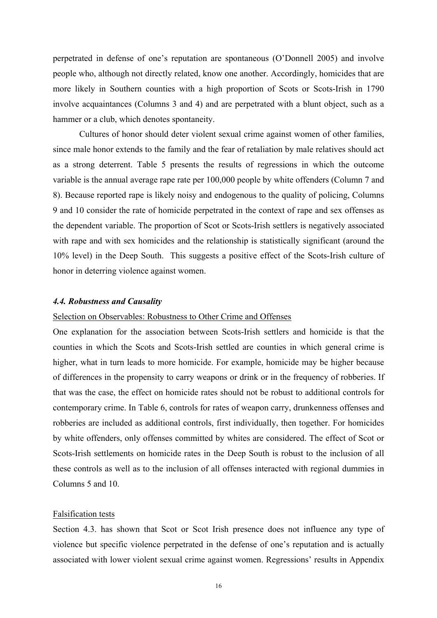perpetrated in defense of one's reputation are spontaneous (O'Donnell 2005) and involve people who, although not directly related, know one another. Accordingly, homicides that are more likely in Southern counties with a high proportion of Scots or Scots-Irish in 1790 involve acquaintances (Columns 3 and 4) and are perpetrated with a blunt object, such as a hammer or a club, which denotes spontaneity.

Cultures of honor should deter violent sexual crime against women of other families, since male honor extends to the family and the fear of retaliation by male relatives should act as a strong deterrent. Table 5 presents the results of regressions in which the outcome variable is the annual average rape rate per 100,000 people by white offenders (Column 7 and 8). Because reported rape is likely noisy and endogenous to the quality of policing, Columns 9 and 10 consider the rate of homicide perpetrated in the context of rape and sex offenses as the dependent variable. The proportion of Scot or Scots-Irish settlers is negatively associated with rape and with sex homicides and the relationship is statistically significant (around the 10% level) in the Deep South. This suggests a positive effect of the Scots-Irish culture of honor in deterring violence against women.

#### *4.4. Robustness and Causality*

#### Selection on Observables: Robustness to Other Crime and Offenses

One explanation for the association between Scots-Irish settlers and homicide is that the counties in which the Scots and Scots-Irish settled are counties in which general crime is higher, what in turn leads to more homicide. For example, homicide may be higher because of differences in the propensity to carry weapons or drink or in the frequency of robberies. If that was the case, the effect on homicide rates should not be robust to additional controls for contemporary crime. In Table 6, controls for rates of weapon carry, drunkenness offenses and robberies are included as additional controls, first individually, then together. For homicides by white offenders, only offenses committed by whites are considered. The effect of Scot or Scots-Irish settlements on homicide rates in the Deep South is robust to the inclusion of all these controls as well as to the inclusion of all offenses interacted with regional dummies in Columns 5 and 10.

#### Falsification tests

Section 4.3. has shown that Scot or Scot Irish presence does not influence any type of violence but specific violence perpetrated in the defense of one's reputation and is actually associated with lower violent sexual crime against women. Regressions' results in Appendix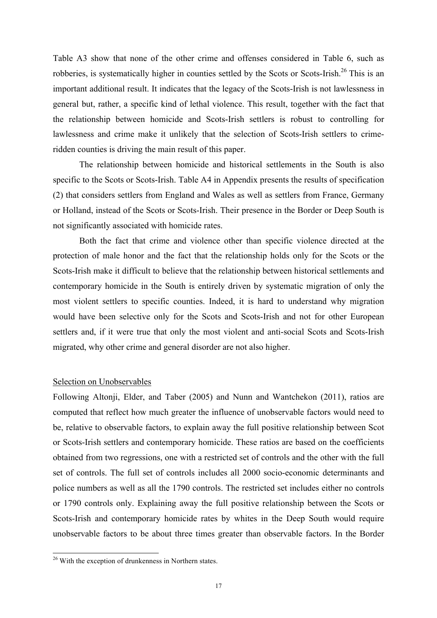Table A3 show that none of the other crime and offenses considered in Table 6, such as robberies, is systematically higher in counties settled by the Scots or Scots-Irish.<sup>26</sup> This is an important additional result. It indicates that the legacy of the Scots-Irish is not lawlessness in general but, rather, a specific kind of lethal violence. This result, together with the fact that the relationship between homicide and Scots-Irish settlers is robust to controlling for lawlessness and crime make it unlikely that the selection of Scots-Irish settlers to crimeridden counties is driving the main result of this paper.

The relationship between homicide and historical settlements in the South is also specific to the Scots or Scots-Irish. Table A4 in Appendix presents the results of specification (2) that considers settlers from England and Wales as well as settlers from France, Germany or Holland, instead of the Scots or Scots-Irish. Their presence in the Border or Deep South is not significantly associated with homicide rates.

Both the fact that crime and violence other than specific violence directed at the protection of male honor and the fact that the relationship holds only for the Scots or the Scots-Irish make it difficult to believe that the relationship between historical settlements and contemporary homicide in the South is entirely driven by systematic migration of only the most violent settlers to specific counties. Indeed, it is hard to understand why migration would have been selective only for the Scots and Scots-Irish and not for other European settlers and, if it were true that only the most violent and anti-social Scots and Scots-Irish migrated, why other crime and general disorder are not also higher.

#### Selection on Unobservables

Following Altonji, Elder, and Taber (2005) and Nunn and Wantchekon (2011), ratios are computed that reflect how much greater the influence of unobservable factors would need to be, relative to observable factors, to explain away the full positive relationship between Scot or Scots-Irish settlers and contemporary homicide. These ratios are based on the coefficients obtained from two regressions, one with a restricted set of controls and the other with the full set of controls. The full set of controls includes all 2000 socio-economic determinants and police numbers as well as all the 1790 controls. The restricted set includes either no controls or 1790 controls only. Explaining away the full positive relationship between the Scots or Scots-Irish and contemporary homicide rates by whites in the Deep South would require unobservable factors to be about three times greater than observable factors. In the Border

<sup>&</sup>lt;sup>26</sup> With the exception of drunkenness in Northern states.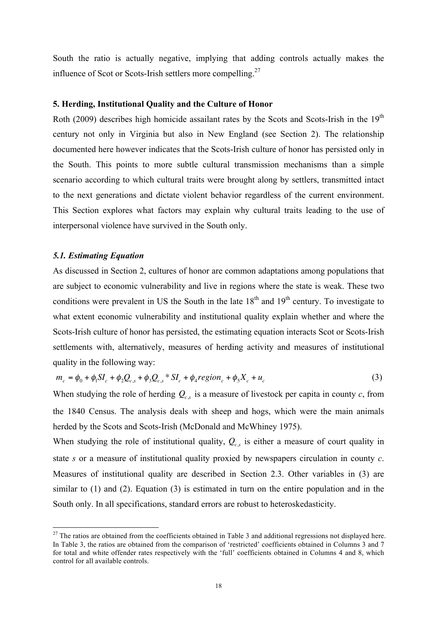South the ratio is actually negative, implying that adding controls actually makes the influence of Scot or Scots-Irish settlers more compelling.<sup>27</sup>

#### **5. Herding, Institutional Quality and the Culture of Honor**

Roth (2009) describes high homicide assailant rates by the Scots and Scots-Irish in the  $19<sup>th</sup>$ century not only in Virginia but also in New England (see Section 2). The relationship documented here however indicates that the Scots-Irish culture of honor has persisted only in the South. This points to more subtle cultural transmission mechanisms than a simple scenario according to which cultural traits were brought along by settlers, transmitted intact to the next generations and dictate violent behavior regardless of the current environment. This Section explores what factors may explain why cultural traits leading to the use of interpersonal violence have survived in the South only.

#### *5.1. Estimating Equation*

As discussed in Section 2, cultures of honor are common adaptations among populations that are subject to economic vulnerability and live in regions where the state is weak. These two conditions were prevalent in US the South in the late  $18<sup>th</sup>$  and  $19<sup>th</sup>$  century. To investigate to what extent economic vulnerability and institutional quality explain whether and where the Scots-Irish culture of honor has persisted, the estimating equation interacts Scot or Scots-Irish settlements with, alternatively, measures of herding activity and measures of institutional quality in the following way:

$$
m_c = \phi_0 + \phi_1 S I_c + \phi_2 Q_{c,s} + \phi_3 Q_{c,s} + S I_c + \phi_4 region_c + \phi_5 X_c + u_c
$$
 (3)

When studying the role of herding  $Q_{c,s}$  is a measure of livestock per capita in county  $c$ , from the 1840 Census. The analysis deals with sheep and hogs, which were the main animals herded by the Scots and Scots-Irish (McDonald and McWhiney 1975).

When studying the role of institutional quality,  $Q_{cs}$  is either a measure of court quality in state *s* or a measure of institutional quality proxied by newspapers circulation in county *c*. Measures of institutional quality are described in Section 2.3. Other variables in (3) are similar to (1) and (2). Equation (3) is estimated in turn on the entire population and in the South only. In all specifications, standard errors are robust to heteroskedasticity.  $\mathcal{Q}_{c,s}$ 

 $27$  The ratios are obtained from the coefficients obtained in Table 3 and additional regressions not displayed here. In Table 3, the ratios are obtained from the comparison of 'restricted' coefficients obtained in Columns 3 and 7 for total and white offender rates respectively with the 'full' coefficients obtained in Columns 4 and 8, which control for all available controls.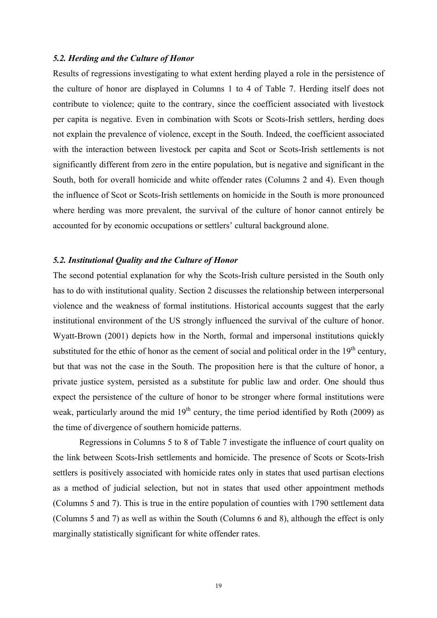#### *5.2. Herding and the Culture of Honor*

Results of regressions investigating to what extent herding played a role in the persistence of the culture of honor are displayed in Columns 1 to 4 of Table 7. Herding itself does not contribute to violence; quite to the contrary, since the coefficient associated with livestock per capita is negative. Even in combination with Scots or Scots-Irish settlers, herding does not explain the prevalence of violence, except in the South. Indeed, the coefficient associated with the interaction between livestock per capita and Scot or Scots-Irish settlements is not significantly different from zero in the entire population, but is negative and significant in the South, both for overall homicide and white offender rates (Columns 2 and 4). Even though the influence of Scot or Scots-Irish settlements on homicide in the South is more pronounced where herding was more prevalent, the survival of the culture of honor cannot entirely be accounted for by economic occupations or settlers' cultural background alone.

#### *5.2. Institutional Quality and the Culture of Honor*

The second potential explanation for why the Scots-Irish culture persisted in the South only has to do with institutional quality. Section 2 discusses the relationship between interpersonal violence and the weakness of formal institutions. Historical accounts suggest that the early institutional environment of the US strongly influenced the survival of the culture of honor. Wyatt-Brown (2001) depicts how in the North, formal and impersonal institutions quickly substituted for the ethic of honor as the cement of social and political order in the  $19<sup>th</sup>$  century, but that was not the case in the South. The proposition here is that the culture of honor, a private justice system, persisted as a substitute for public law and order. One should thus expect the persistence of the culture of honor to be stronger where formal institutions were weak, particularly around the mid  $19<sup>th</sup>$  century, the time period identified by Roth (2009) as the time of divergence of southern homicide patterns.

Regressions in Columns 5 to 8 of Table 7 investigate the influence of court quality on the link between Scots-Irish settlements and homicide. The presence of Scots or Scots-Irish settlers is positively associated with homicide rates only in states that used partisan elections as a method of judicial selection, but not in states that used other appointment methods (Columns 5 and 7). This is true in the entire population of counties with 1790 settlement data (Columns 5 and 7) as well as within the South (Columns 6 and 8), although the effect is only marginally statistically significant for white offender rates.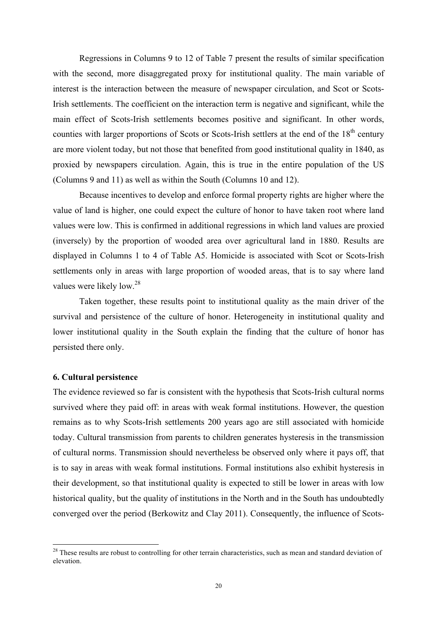Regressions in Columns 9 to 12 of Table 7 present the results of similar specification with the second, more disaggregated proxy for institutional quality. The main variable of interest is the interaction between the measure of newspaper circulation, and Scot or Scots-Irish settlements. The coefficient on the interaction term is negative and significant, while the main effect of Scots-Irish settlements becomes positive and significant. In other words, counties with larger proportions of Scots or Scots-Irish settlers at the end of the 18<sup>th</sup> century are more violent today, but not those that benefited from good institutional quality in 1840, as proxied by newspapers circulation. Again, this is true in the entire population of the US (Columns 9 and 11) as well as within the South (Columns 10 and 12).

Because incentives to develop and enforce formal property rights are higher where the value of land is higher, one could expect the culture of honor to have taken root where land values were low. This is confirmed in additional regressions in which land values are proxied (inversely) by the proportion of wooded area over agricultural land in 1880. Results are displayed in Columns 1 to 4 of Table A5. Homicide is associated with Scot or Scots-Irish settlements only in areas with large proportion of wooded areas, that is to say where land values were likely low.<sup>28</sup>

Taken together, these results point to institutional quality as the main driver of the survival and persistence of the culture of honor. Heterogeneity in institutional quality and lower institutional quality in the South explain the finding that the culture of honor has persisted there only.

#### **6. Cultural persistence**

The evidence reviewed so far is consistent with the hypothesis that Scots-Irish cultural norms survived where they paid off: in areas with weak formal institutions. However, the question remains as to why Scots-Irish settlements 200 years ago are still associated with homicide today. Cultural transmission from parents to children generates hysteresis in the transmission of cultural norms. Transmission should nevertheless be observed only where it pays off, that is to say in areas with weak formal institutions. Formal institutions also exhibit hysteresis in their development, so that institutional quality is expected to still be lower in areas with low historical quality, but the quality of institutions in the North and in the South has undoubtedly converged over the period (Berkowitz and Clay 2011). Consequently, the influence of Scots-

<sup>&</sup>lt;sup>28</sup> These results are robust to controlling for other terrain characteristics, such as mean and standard deviation of elevation.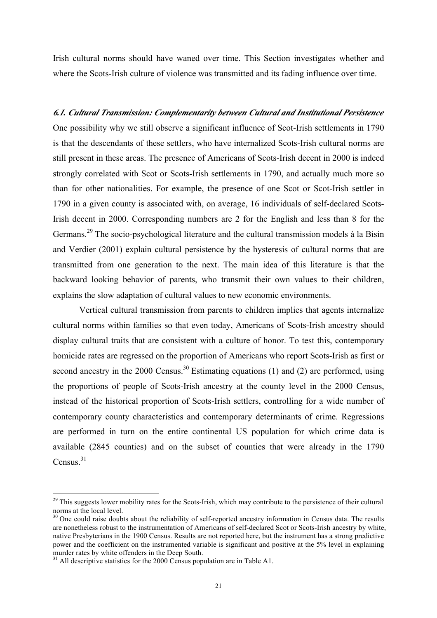Irish cultural norms should have waned over time. This Section investigates whether and where the Scots-Irish culture of violence was transmitted and its fading influence over time.

# *6.1. Cultural Transmission: Complementarity between Cultural and Institutional Persistence*  One possibility why we still observe a significant influence of Scot-Irish settlements in 1790 is that the descendants of these settlers, who have internalized Scots-Irish cultural norms are still present in these areas. The presence of Americans of Scots-Irish decent in 2000 is indeed strongly correlated with Scot or Scots-Irish settlements in 1790, and actually much more so than for other nationalities. For example, the presence of one Scot or Scot-Irish settler in 1790 in a given county is associated with, on average, 16 individuals of self-declared Scots-Irish decent in 2000. Corresponding numbers are 2 for the English and less than 8 for the Germans.<sup>29</sup> The socio-psychological literature and the cultural transmission models à la Bisin and Verdier (2001) explain cultural persistence by the hysteresis of cultural norms that are transmitted from one generation to the next. The main idea of this literature is that the backward looking behavior of parents, who transmit their own values to their children, explains the slow adaptation of cultural values to new economic environments. Vertical cultural transmission from parents to children implies that agents internalize

cultural norms within families so that even today, Americans of Scots-Irish ancestry should display cultural traits that are consistent with a culture of honor. To test this, contemporary homicide rates are regressed on the proportion of Americans who report Scots-Irish as first or second ancestry in the 2000 Census.<sup>30</sup> Estimating equations (1) and (2) are performed, using the proportions of people of Scots-Irish ancestry at the county level in the 2000 Census, instead of the historical proportion of Scots-Irish settlers, controlling for a wide number of contemporary county characteristics and contemporary determinants of crime. Regressions are performed in turn on the entire continental US population for which crime data is available (2845 counties) and on the subset of counties that were already in the 1790 Census.<sup>31</sup>

<sup>&</sup>lt;sup>29</sup> This suggests lower mobility rates for the Scots-Irish, which may contribute to the persistence of their cultural norms at the local level.

 $30$  One could raise doubts about the reliability of self-reported ancestry information in Census data. The results are nonetheless robust to the instrumentation of Americans of self-declared Scot or Scots-Irish ancestry by white, native Presbyterians in the 1900 Census. Results are not reported here, but the instrument has a strong predictive power and the coefficient on the instrumented variable is significant and positive at the 5% level in explaining murder rates by white offenders in the Deep South.

 $31$  All descriptive statistics for the 2000 Census population are in Table A1.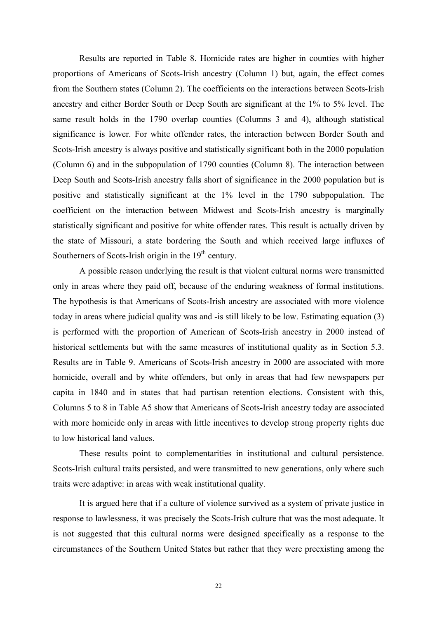Results are reported in Table 8. Homicide rates are higher in counties with higher proportions of Americans of Scots-Irish ancestry (Column 1) but, again, the effect comes from the Southern states (Column 2). The coefficients on the interactions between Scots-Irish ancestry and either Border South or Deep South are significant at the 1% to 5% level. The same result holds in the 1790 overlap counties (Columns 3 and 4), although statistical significance is lower. For white offender rates, the interaction between Border South and Scots-Irish ancestry is always positive and statistically significant both in the 2000 population (Column 6) and in the subpopulation of 1790 counties (Column 8). The interaction between Deep South and Scots-Irish ancestry falls short of significance in the 2000 population but is positive and statistically significant at the 1% level in the 1790 subpopulation. The coefficient on the interaction between Midwest and Scots-Irish ancestry is marginally statistically significant and positive for white offender rates. This result is actually driven by the state of Missouri, a state bordering the South and which received large influxes of Southerners of Scots-Irish origin in the  $19<sup>th</sup>$  century.

A possible reason underlying the result is that violent cultural norms were transmitted only in areas where they paid off, because of the enduring weakness of formal institutions. The hypothesis is that Americans of Scots-Irish ancestry are associated with more violence today in areas where judicial quality was and -is still likely to be low. Estimating equation (3) is performed with the proportion of American of Scots-Irish ancestry in 2000 instead of historical settlements but with the same measures of institutional quality as in Section 5.3. Results are in Table 9. Americans of Scots-Irish ancestry in 2000 are associated with more homicide, overall and by white offenders, but only in areas that had few newspapers per capita in 1840 and in states that had partisan retention elections. Consistent with this, Columns 5 to 8 in Table A5 show that Americans of Scots-Irish ancestry today are associated with more homicide only in areas with little incentives to develop strong property rights due to low historical land values.

These results point to complementarities in institutional and cultural persistence. Scots-Irish cultural traits persisted, and were transmitted to new generations, only where such traits were adaptive: in areas with weak institutional quality.

It is argued here that if a culture of violence survived as a system of private justice in response to lawlessness, it was precisely the Scots-Irish culture that was the most adequate. It is not suggested that this cultural norms were designed specifically as a response to the circumstances of the Southern United States but rather that they were preexisting among the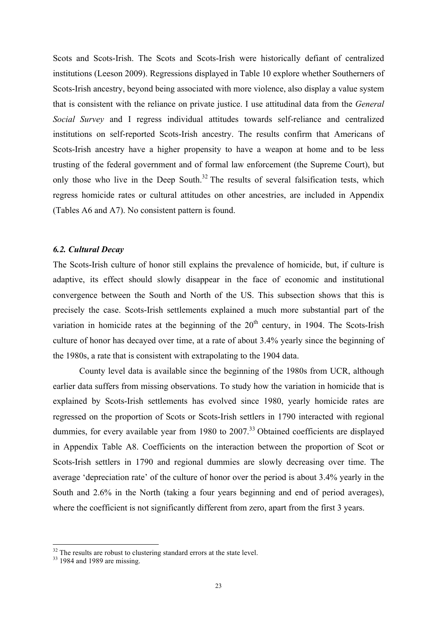Scots and Scots-Irish. The Scots and Scots-Irish were historically defiant of centralized institutions (Leeson 2009). Regressions displayed in Table 10 explore whether Southerners of Scots-Irish ancestry, beyond being associated with more violence, also display a value system that is consistent with the reliance on private justice. I use attitudinal data from the *General Social Survey* and I regress individual attitudes towards self-reliance and centralized institutions on self-reported Scots-Irish ancestry. The results confirm that Americans of Scots-Irish ancestry have a higher propensity to have a weapon at home and to be less trusting of the federal government and of formal law enforcement (the Supreme Court), but only those who live in the Deep South.<sup>32</sup> The results of several falsification tests, which regress homicide rates or cultural attitudes on other ancestries, are included in Appendix (Tables A6 and A7). No consistent pattern is found.

#### *6.2. Cultural Decay*

The Scots-Irish culture of honor still explains the prevalence of homicide, but, if culture is adaptive, its effect should slowly disappear in the face of economic and institutional convergence between the South and North of the US. This subsection shows that this is precisely the case. Scots-Irish settlements explained a much more substantial part of the variation in homicide rates at the beginning of the  $20<sup>th</sup>$  century, in 1904. The Scots-Irish culture of honor has decayed over time, at a rate of about 3.4% yearly since the beginning of the 1980s, a rate that is consistent with extrapolating to the 1904 data.

County level data is available since the beginning of the 1980s from UCR, although earlier data suffers from missing observations. To study how the variation in homicide that is explained by Scots-Irish settlements has evolved since 1980, yearly homicide rates are regressed on the proportion of Scots or Scots-Irish settlers in 1790 interacted with regional dummies, for every available year from 1980 to 2007.<sup>33</sup> Obtained coefficients are displayed in Appendix Table A8. Coefficients on the interaction between the proportion of Scot or Scots-Irish settlers in 1790 and regional dummies are slowly decreasing over time. The average 'depreciation rate' of the culture of honor over the period is about 3.4% yearly in the South and 2.6% in the North (taking a four years beginning and end of period averages), where the coefficient is not significantly different from zero, apart from the first 3 years.

 $32$  The results are robust to clustering standard errors at the state level.<br> $33$  1984 and 1989 are missing.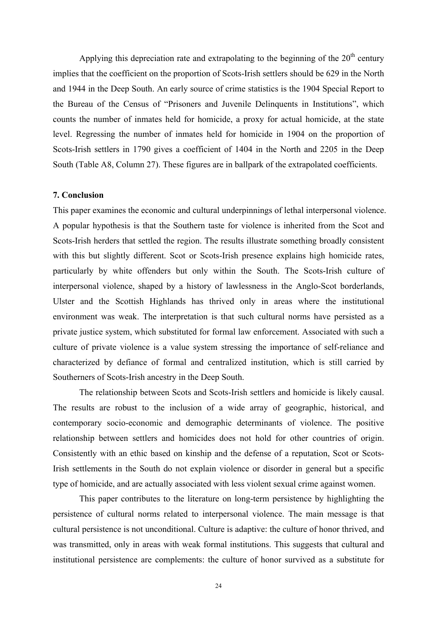Applying this depreciation rate and extrapolating to the beginning of the  $20<sup>th</sup>$  century implies that the coefficient on the proportion of Scots-Irish settlers should be 629 in the North and 1944 in the Deep South. An early source of crime statistics is the 1904 Special Report to the Bureau of the Census of "Prisoners and Juvenile Delinquents in Institutions", which counts the number of inmates held for homicide, a proxy for actual homicide, at the state level. Regressing the number of inmates held for homicide in 1904 on the proportion of Scots-Irish settlers in 1790 gives a coefficient of 1404 in the North and 2205 in the Deep South (Table A8, Column 27). These figures are in ballpark of the extrapolated coefficients.

#### **7. Conclusion**

This paper examines the economic and cultural underpinnings of lethal interpersonal violence. A popular hypothesis is that the Southern taste for violence is inherited from the Scot and Scots-Irish herders that settled the region. The results illustrate something broadly consistent with this but slightly different. Scot or Scots-Irish presence explains high homicide rates, particularly by white offenders but only within the South. The Scots-Irish culture of interpersonal violence, shaped by a history of lawlessness in the Anglo-Scot borderlands, Ulster and the Scottish Highlands has thrived only in areas where the institutional environment was weak. The interpretation is that such cultural norms have persisted as a private justice system, which substituted for formal law enforcement. Associated with such a culture of private violence is a value system stressing the importance of self-reliance and characterized by defiance of formal and centralized institution, which is still carried by Southerners of Scots-Irish ancestry in the Deep South.

The relationship between Scots and Scots-Irish settlers and homicide is likely causal. The results are robust to the inclusion of a wide array of geographic, historical, and contemporary socio-economic and demographic determinants of violence. The positive relationship between settlers and homicides does not hold for other countries of origin. Consistently with an ethic based on kinship and the defense of a reputation, Scot or Scots-Irish settlements in the South do not explain violence or disorder in general but a specific type of homicide, and are actually associated with less violent sexual crime against women.

This paper contributes to the literature on long-term persistence by highlighting the persistence of cultural norms related to interpersonal violence. The main message is that cultural persistence is not unconditional. Culture is adaptive: the culture of honor thrived, and was transmitted, only in areas with weak formal institutions. This suggests that cultural and institutional persistence are complements: the culture of honor survived as a substitute for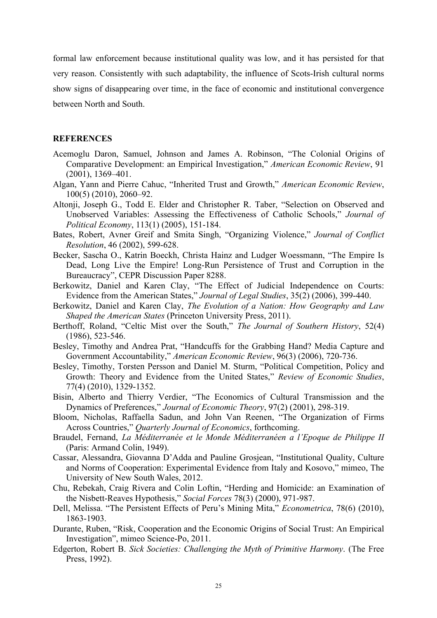formal law enforcement because institutional quality was low, and it has persisted for that very reason. Consistently with such adaptability, the influence of Scots-Irish cultural norms show signs of disappearing over time, in the face of economic and institutional convergence between North and South.

#### **REFERENCES**

- Acemoglu Daron, Samuel, Johnson and James A. Robinson, "The Colonial Origins of Comparative Development: an Empirical Investigation," *American Economic Review*, 91 (2001), 1369–401.
- Algan, Yann and Pierre Cahuc, "Inherited Trust and Growth," *American Economic Review*, 100(5) (2010), 2060–92.
- Altonji, Joseph G., Todd E. Elder and Christopher R. Taber, "Selection on Observed and Unobserved Variables: Assessing the Effectiveness of Catholic Schools," *Journal of Political Economy*, 113(1) (2005), 151-184.
- Bates, Robert, Avner Greif and Smita Singh, "Organizing Violence," *Journal of Conflict Resolution*, 46 (2002), 599-628.
- Becker, Sascha O., Katrin Boeckh, Christa Hainz and Ludger Woessmann, "The Empire Is Dead, Long Live the Empire! Long-Run Persistence of Trust and Corruption in the Bureaucracy", CEPR Discussion Paper 8288.
- Berkowitz, Daniel and Karen Clay, "The Effect of Judicial Independence on Courts: Evidence from the American States," *Journal of Legal Studies*, 35(2) (2006), 399-440.
- Berkowitz, Daniel and Karen Clay, *The Evolution of a Nation: How Geography and Law Shaped the American States* (Princeton University Press, 2011).
- Berthoff, Roland, "Celtic Mist over the South," *The Journal of Southern History*, 52(4) (1986), 523-546.
- Besley, Timothy and Andrea Prat, "Handcuffs for the Grabbing Hand? Media Capture and Government Accountability," *American Economic Review*, 96(3) (2006), 720-736.
- Besley, Timothy, Torsten Persson and Daniel M. Sturm, "Political Competition, Policy and Growth: Theory and Evidence from the United States," *Review of Economic Studies*, 77(4) (2010), 1329-1352.
- Bisin, Alberto and Thierry Verdier, "The Economics of Cultural Transmission and the Dynamics of Preferences," *Journal of Economic Theory*, 97(2) (2001), 298-319.
- Bloom, Nicholas, Raffaella Sadun, and John Van Reenen, "The Organization of Firms Across Countries," *Quarterly Journal of Economics*, forthcoming.
- Braudel, Fernand, *La Méditerranée et le Monde Méditerranéen a l'Epoque de Philippe II* (Paris: Armand Colin, 1949).
- Cassar, Alessandra, Giovanna D'Adda and Pauline Grosjean, "Institutional Quality, Culture and Norms of Cooperation: Experimental Evidence from Italy and Kosovo," mimeo, The University of New South Wales, 2012.
- Chu, Rebekah, Craig Rivera and Colin Loftin, "Herding and Homicide: an Examination of the Nisbett-Reaves Hypothesis," *Social Forces* 78(3) (2000), 971-987.
- Dell, Melissa. "The Persistent Effects of Peru's Mining Mita," *Econometrica*, 78(6) (2010), 1863-1903.
- Durante, Ruben, "Risk, Cooperation and the Economic Origins of Social Trust: An Empirical Investigation", mimeo Science-Po, 2011.
- Edgerton, Robert B. *Sick Societies: Challenging the Myth of Primitive Harmony*. (The Free Press, 1992).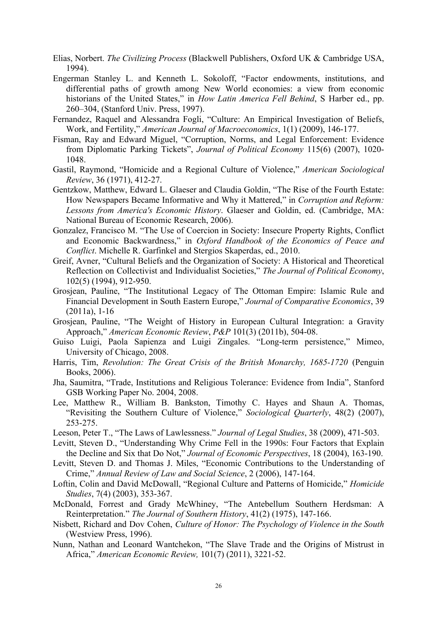- Elias, Norbert. *The Civilizing Process* (Blackwell Publishers, Oxford UK & Cambridge USA, 1994).
- Engerman Stanley L. and Kenneth L. Sokoloff, "Factor endowments, institutions, and differential paths of growth among New World economies: a view from economic historians of the United States," in *How Latin America Fell Behind*, S Harber ed., pp. 260–304, (Stanford Univ. Press, 1997).
- Fernandez, Raquel and Alessandra Fogli, "Culture: An Empirical Investigation of Beliefs, Work, and Fertility," *American Journal of Macroeconomics*, 1(1) (2009), 146-177.
- Fisman, Ray and Edward Miguel, "Corruption, Norms, and Legal Enforcement: Evidence from Diplomatic Parking Tickets", *Journal of Political Economy* 115(6) (2007), 1020- 1048.
- Gastil, Raymond, "Homicide and a Regional Culture of Violence," *American Sociological Review*, 36 (1971), 412-27.
- Gentzkow, Matthew, Edward L. Glaeser and Claudia Goldin, "The Rise of the Fourth Estate: How Newspapers Became Informative and Why it Mattered," in *Corruption and Reform: Lessons from America's Economic History*. Glaeser and Goldin, ed. (Cambridge, MA: National Bureau of Economic Research, 2006).
- Gonzalez, Francisco M. "The Use of Coercion in Society: Insecure Property Rights, Conflict and Economic Backwardness," in *Oxford Handbook of the Economics of Peace and Conflict*. Michelle R. Garfinkel and Stergios Skaperdas, ed., 2010.
- Greif, Avner, "Cultural Beliefs and the Organization of Society: A Historical and Theoretical Reflection on Collectivist and Individualist Societies," *The Journal of Political Economy*, 102(5) (1994), 912-950.
- Grosjean, Pauline, "The Institutional Legacy of The Ottoman Empire: Islamic Rule and Financial Development in South Eastern Europe," *Journal of Comparative Economics*, 39 (2011a), 1-16
- Grosjean, Pauline, "The Weight of History in European Cultural Integration: a Gravity Approach," *American Economic Review*, *P&P* 101(3) (2011b), 504-08.
- Guiso Luigi, Paola Sapienza and Luigi Zingales. "Long-term persistence," Mimeo, University of Chicago, 2008.
- Harris, Tim, *Revolution: The Great Crisis of the British Monarchy, 1685-1720* (Penguin Books, 2006).
- Jha, Saumitra, "Trade, Institutions and Religious Tolerance: Evidence from India", Stanford GSB Working Paper No. 2004, 2008.
- Lee, Matthew R., William B. Bankston, Timothy C. Hayes and Shaun A. Thomas, "Revisiting the Southern Culture of Violence," *Sociological Quarterly*, 48(2) (2007), 253-275.
- Leeson, Peter T., "The Laws of Lawlessness." *Journal of Legal Studies*, 38 (2009), 471-503.
- Levitt, Steven D., "Understanding Why Crime Fell in the 1990s: Four Factors that Explain the Decline and Six that Do Not," *Journal of Economic Perspectives*, 18 (2004), 163-190.
- Levitt, Steven D. and Thomas J. Miles, "Economic Contributions to the Understanding of Crime," *Annual Review of Law and Social Science*, 2 (2006), 147-164.
- Loftin, Colin and David McDowall, "Regional Culture and Patterns of Homicide," *Homicide Studies*, 7(4) (2003), 353-367.
- McDonald, Forrest and Grady McWhiney, "The Antebellum Southern Herdsman: A Reinterpretation." *The Journal of Southern History*, 41(2) (1975), 147-166.
- Nisbett, Richard and Dov Cohen, *Culture of Honor: The Psychology of Violence in the South* (Westview Press, 1996).
- Nunn, Nathan and Leonard Wantchekon, "The Slave Trade and the Origins of Mistrust in Africa," *American Economic Review,* 101(7) (2011), 3221-52.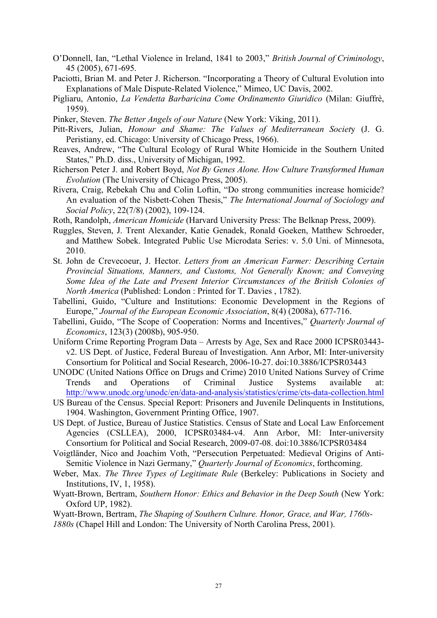- O'Donnell, Ian, "Lethal Violence in Ireland, 1841 to 2003," *British Journal of Criminology*, 45 (2005), 671-695.
- Paciotti, Brian M. and Peter J. Richerson. "Incorporating a Theory of Cultural Evolution into Explanations of Male Dispute-Related Violence," Mimeo, UC Davis, 2002.
- Pigliaru, Antonio, *La Vendetta Barbaricina Come Ordinamento Giuridico* (Milan: Giuffrè, 1959).
- Pinker, Steven. *The Better Angels of our Nature* (New York: Viking, 2011).
- Pitt-Rivers, Julian, *Honour and Shame: The Values of Mediterranean Societ*y (J. G. Peristiany, ed. Chicago: University of Chicago Press, 1966).
- Reaves, Andrew, "The Cultural Ecology of Rural White Homicide in the Southern United States," Ph.D. diss., University of Michigan, 1992.
- Richerson Peter J. and Robert Boyd, *Not By Genes Alone. How Culture Transformed Human Evolution* (The University of Chicago Press, 2005).
- Rivera, Craig, Rebekah Chu and Colin Loftin, "Do strong communities increase homicide? An evaluation of the Nisbett-Cohen Thesis," *The International Journal of Sociology and Social Policy*, 22(7/8) (2002), 109-124.
- Roth, Randolph, *American Homicide* (Harvard University Press: The Belknap Press, 2009).
- Ruggles, Steven, J. Trent Alexander, Katie Genadek, Ronald Goeken, Matthew Schroeder, and Matthew Sobek. Integrated Public Use Microdata Series: v. 5.0 Uni. of Minnesota, 2010.
- St. John de Crevecoeur, J. Hector. *Letters from an American Farmer: Describing Certain Provincial Situations, Manners, and Customs, Not Generally Known; and Conveying Some Idea of the Late and Present Interior Circumstances of the British Colonies of North America* (Published: London : Printed for T. Davies , 1782).
- Tabellini, Guido, "Culture and Institutions: Economic Development in the Regions of Europe," *Journal of the European Economic Association*, 8(4) (2008a), 677-716.
- Tabellini, Guido, "The Scope of Cooperation: Norms and Incentives," *Quarterly Journal of Economics*, 123(3) (2008b), 905-950.
- Uniform Crime Reporting Program Data Arrests by Age, Sex and Race 2000 ICPSR03443 v2. US Dept. of Justice, Federal Bureau of Investigation. Ann Arbor, MI: Inter-university Consortium for Political and Social Research, 2006-10-27. doi:10.3886/ICPSR03443
- UNODC (United Nations Office on Drugs and Crime) 2010 United Nations Survey of Crime Trends and Operations of Criminal Justice Systems available at: http://www.unodc.org/unodc/en/data-and-analysis/statistics/crime/cts-data-collection.html
- US Bureau of the Census. Special Report: Prisoners and Juvenile Delinquents in Institutions, 1904. Washington, Government Printing Office, 1907.
- US Dept. of Justice, Bureau of Justice Statistics. Census of State and Local Law Enforcement Agencies (CSLLEA), 2000, ICPSR03484-v4. Ann Arbor, MI: Inter-university Consortium for Political and Social Research, 2009-07-08. doi:10.3886/ICPSR03484
- Voigtländer, Nico and Joachim Voth, "Persecution Perpetuated: Medieval Origins of Anti-Semitic Violence in Nazi Germany," *Quarterly Journal of Economics*, forthcoming.
- Weber, Max. *The Three Types of Legitimate Rule* (Berkeley: Publications in Society and Institutions, IV, 1, 1958).
- Wyatt-Brown, Bertram, *Southern Honor: Ethics and Behavior in the Deep South* (New York: Oxford UP, 1982).
- Wyatt-Brown, Bertram, *The Shaping of Southern Culture. Honor, Grace, and War, 1760s-1880s* (Chapel Hill and London: The University of North Carolina Press, 2001).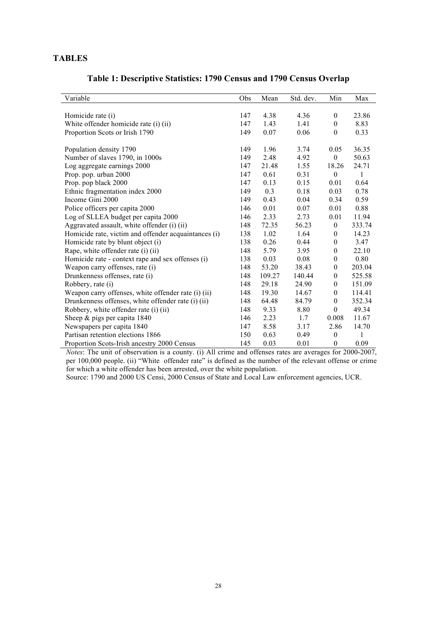#### **TABLES**

|  |  |  | Table 1: Descriptive Statistics: 1790 Census and 1790 Census Overlap |
|--|--|--|----------------------------------------------------------------------|
|--|--|--|----------------------------------------------------------------------|

| Variable                                             | Obs | Mean   | Std. dev. | Min              | Max    |
|------------------------------------------------------|-----|--------|-----------|------------------|--------|
|                                                      |     |        |           |                  |        |
| Homicide rate (i)                                    | 147 | 4.38   | 4.36      | $\mathbf{0}$     | 23.86  |
| White offender homicide rate (i) (ii)                | 147 | 1.43   | 1.41      | $\mathbf{0}$     | 8.83   |
| Proportion Scots or Irish 1790                       | 149 | 0.07   | 0.06      | $\theta$         | 0.33   |
|                                                      |     |        |           |                  |        |
| Population density 1790                              | 149 | 1.96   | 3.74      | 0.05             | 36.35  |
| Number of slaves 1790, in 1000s                      | 149 | 2.48   | 4.92      | $\mathbf{0}$     | 50.63  |
| Log aggregate earnings 2000                          | 147 | 21.48  | 1.55      | 18.26            | 24.71  |
| Prop. pop. urban 2000                                | 147 | 0.61   | 0.31      | $\theta$         | 1      |
| Prop. pop black 2000                                 | 147 | 0.13   | 0.15      | 0.01             | 0.64   |
| Ethnic fragmentation index 2000                      | 149 | 0.3    | 0.18      | 0.03             | 0.78   |
| Income Gini 2000                                     | 149 | 0.43   | 0.04      | 0.34             | 0.59   |
| Police officers per capita 2000                      | 146 | 0.01   | 0.07      | 0.01             | 0.88   |
| Log of SLLEA budget per capita 2000                  | 146 | 2.33   | 2.73      | 0.01             | 11.94  |
| Aggravated assault, white offender (i) (ii)          | 148 | 72.35  | 56.23     | $\boldsymbol{0}$ | 333.74 |
| Homicide rate, victim and offender acquaintances (i) | 138 | 1.02   | 1.64      | $\mathbf{0}$     | 14.23  |
| Homicide rate by blunt object (i)                    | 138 | 0.26   | 0.44      | $\mathbf{0}$     | 3.47   |
| Rape, white offender rate (i) (ii)                   | 148 | 5.79   | 3.95      | $\mathbf{0}$     | 22.10  |
| Homicide rate - context rape and sex offenses (i)    | 138 | 0.03   | 0.08      | $\theta$         | 0.80   |
| Weapon carry offenses, rate (i)                      | 148 | 53.20  | 38.43     | $\theta$         | 203.04 |
| Drunkenness offenses, rate (i)                       | 148 | 109.27 | 140.44    | $\mathbf{0}$     | 525.58 |
| Robbery, rate (i)                                    | 148 | 29.18  | 24.90     | $\mathbf{0}$     | 151.09 |
| Weapon carry offenses, white offender rate (i) (ii)  | 148 | 19.30  | 14.67     | $\theta$         | 114.41 |
| Drunkenness offenses, white offender rate (i) (ii)   | 148 | 64.48  | 84.79     | $\mathbf{0}$     | 352.34 |
| Robbery, white offender rate (i) (ii)                | 148 | 9.33   | 8.80      | $\boldsymbol{0}$ | 49.34  |
| Sheep $\&$ pigs per capita 1840                      | 146 | 2.23   | 1.7       | 0.008            | 11.67  |
| Newspapers per capita 1840                           | 147 | 8.58   | 3.17      | 2.86             | 14.70  |
| Partisan retention elections 1866                    | 150 | 0.63   | 0.49      | $\mathbf{0}$     | 1      |
| Proportion Scots-Irish ancestry 2000 Census          | 145 | 0.03   | 0.01      | $\mathbf{0}$     | 0.09   |

*Notes*: The unit of observation is a county. (i) All crime and offenses rates are averages for 2000-2007, per 100,000 people. (ii) "White offender rate" is defined as the number of the relevant offense or crime for which a white offender has been arrested, over the white population.

Source: 1790 and 2000 US Censi, 2000 Census of State and Local Law enforcement agencies, UCR.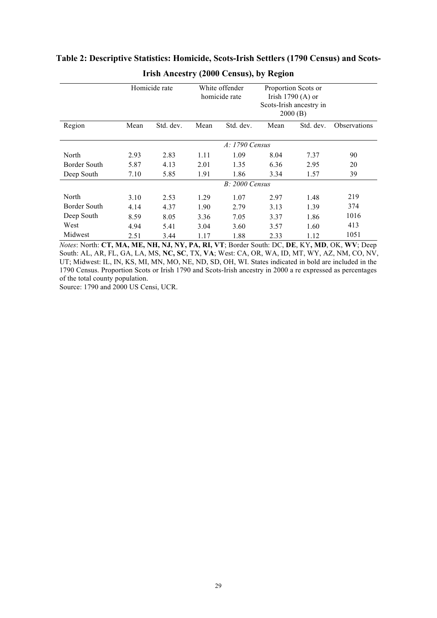|              |      | Homicide rate |      | White offender<br>homicide rate | Proportion Scots or<br>Irish $1790(A)$ or<br>Scots-Irish ancestry in<br>2000(B) |           |                     |
|--------------|------|---------------|------|---------------------------------|---------------------------------------------------------------------------------|-----------|---------------------|
| Region       | Mean | Std. dev.     | Mean | Std. dev.                       | Mean                                                                            | Std. dev. | <b>Observations</b> |
|              |      |               |      |                                 |                                                                                 |           |                     |
|              |      |               |      | A: 1790 Census                  |                                                                                 |           |                     |
| North        | 2.93 | 2.83          | 1.11 | 1.09                            | 8.04                                                                            | 7.37      | 90                  |
| Border South | 5.87 | 4.13          | 2.01 | 1.35                            | 6.36                                                                            | 2.95      | 20                  |
| Deep South   | 7.10 | 5.85          | 1.91 | 1.86                            | 3.34                                                                            | 1.57      | 39                  |
|              |      |               |      | $B: 2000$ Census                |                                                                                 |           |                     |
| North        | 3.10 | 2.53          | 1.29 | 1.07                            | 2.97                                                                            | 1.48      | 219                 |
| Border South | 4.14 | 4.37          | 1.90 | 2.79                            | 3.13                                                                            | 1.39      | 374                 |
| Deep South   | 8.59 | 8.05          | 3.36 | 7.05                            | 3.37                                                                            | 1.86      | 1016                |
| West         | 4.94 | 5.41          | 3.04 | 3.60                            | 3.57                                                                            | 1.60      | 413                 |
| Midwest      | 2.51 | 3.44          | 1.17 | 1.88                            | 2.33                                                                            | 1.12      | 1051                |

## **Table 2: Descriptive Statistics: Homicide, Scots-Irish Settlers (1790 Census) and Scots-Irish Ancestry (2000 Census), by Region**

*Notes*: North: **CT, MA, ME, NH, NJ, NY, PA, RI, VT**; Border South: DC, **DE**, KY**, MD**, OK, **WV**; Deep South: AL, AR, FL, GA, LA, MS, **NC, SC**, TX, **VA**; West: CA, OR, WA, ID, MT, WY, AZ, NM, CO, NV, UT; Midwest: IL, IN, KS, MI, MN, MO, NE, ND, SD, OH, WI. States indicated in bold are included in the 1790 Census. Proportion Scots or Irish 1790 and Scots-Irish ancestry in 2000 a re expressed as percentages of the total county population.

Source: 1790 and 2000 US Censi, UCR.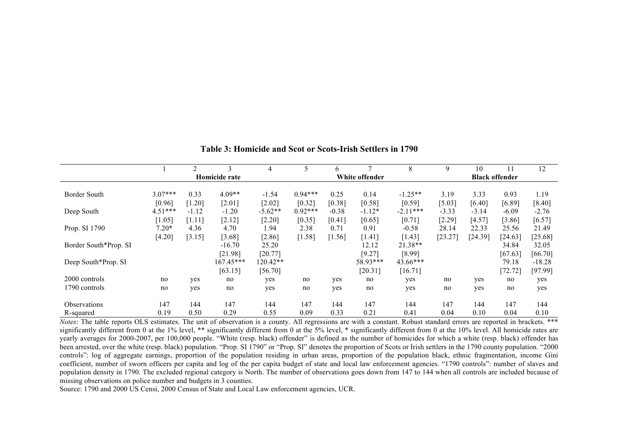|                       |           | $\mathfrak{D}$ |               | 4         |           | 6       |                | 8          | 9       | 10                    | 11      | 12       |  |
|-----------------------|-----------|----------------|---------------|-----------|-----------|---------|----------------|------------|---------|-----------------------|---------|----------|--|
|                       |           |                | Homicide rate |           |           |         | White offender |            |         | <b>Black offender</b> |         |          |  |
|                       |           |                |               |           |           |         |                |            |         |                       |         |          |  |
| Border South          | $3.07***$ | 0.33           | $4.09**$      | $-1.54$   | $0.94***$ | 0.25    | 0.14           | $-1.25**$  | 3.19    | 3.33                  | 0.93    | 1.19     |  |
|                       | [0.96]    | [1.20]         | [2.01]        | $[2.02]$  | [0.32]    | [0.38]  | [0.58]         | [0.59]     | [5.03]  | [6.40]                | [6.89]  | [8.40]   |  |
| Deep South            | $4.51***$ | $-1.12$        | $-1.20$       | $-5.62**$ | $0.92***$ | $-0.38$ | $-1.12*$       | $-2.11***$ | $-3.33$ | $-3.14$               | $-6.09$ | $-2.76$  |  |
|                       | [1.05]    | [1.11]         | [2.12]        | $[2.20]$  | [0.35]    | [0.41]  | [0.65]         | [0.71]     | [2.29]  | [4.57]                | [3.86]  | [6.57]   |  |
| Prop. SI 1790         | $7.20*$   | 4.36           | 4.70          | 1.94      | 2.38      | 0.71    | 0.91           | $-0.58$    | 28.14   | 22.33                 | 25.56   | 21.49    |  |
|                       | [4.20]    | [3.15]         | [3.68]        | [2.86]    | $[1.58]$  | [1.56]  | [1.41]         | [1.43]     | [23.27] | [24.39]               | [24.63] | [25.68]  |  |
| Border South*Prop. SI |           |                | $-16.70$      | 25.20     |           |         | 12.12          | 21.38**    |         |                       | 34.84   | 32.05    |  |
|                       |           |                | [21.98]       | [20.77]   |           |         | [9.27]         | [8.99]     |         |                       | [67.63] | [66.70]  |  |
| Deep South*Prop. SI   |           |                | 167.45***     | 120.42**  |           |         | 58.93***       | 43.66***   |         |                       | 79.18   | $-18.28$ |  |
|                       |           |                | [63.15]       | [56.70]   |           |         | [20.31]        | [16.71]    |         |                       | [72.72] | [97.99]  |  |
| 2000 controls         | no        | yes            | no            | yes       | no        | yes     | no             | yes        | no      | yes                   | no      | yes      |  |
| 1790 controls         | no        | yes            | no            | yes       | no        | yes     | no             | yes        | no      | yes                   | no      | yes      |  |
|                       |           |                |               |           |           |         |                |            |         |                       |         |          |  |
| <b>Observations</b>   | 147       | 144            | 147           | 144       | 147       | 144     | 147            | 144        | 147     | 144                   | 147     | 144      |  |
| R-squared             | 0.19      | 0.50           | 0.29          | 0.55      | 0.09      | 0.33    | 0.21           | 0.41       | 0.04    | 0.10                  | 0.04    | 0.10     |  |

**Table 3: Homicide and Scot or Scots-Irish Settlers in 1790**

*Notes*: The table reports OLS estimates. The unit of observation is a county. All regressions are with a constant. Robust standard errors are reported in brackets. \*\*\* significantly different from 0 at the 1% level, \*\* significantly different from 0 at the 5% level, \* significantly different from 0 at the 10% level. All homicide rates are yearly averages for 2000-2007, per 100,000 people. "White (resp. black) offender" is defined as the number of homicides for which a white (resp. black) offender has been arrested, over the white (resp. black) population. "Prop. SI 1790" or "Prop. SI" denotes the proportion of Scots or Irish settlers in the 1790 county population. "2000 controls": log of aggregate earnings, proportion of the population residing in urban areas, proportion of the population black, ethnic fragmentation, income Gini coefficient, number of sworn officers per capita and log of the per capita budget of state and local law enforcement agencies. "1790 controls": number of slaves and population density in 1790. The excluded regional category is North. The number of observations goes down from 147 to 144 when all controls are included because of missing observations on police number and budgets in 3 counties.

Source: 1790 and 2000 US Censi, 2000 Census of State and Local Law enforcement agencies, UCR.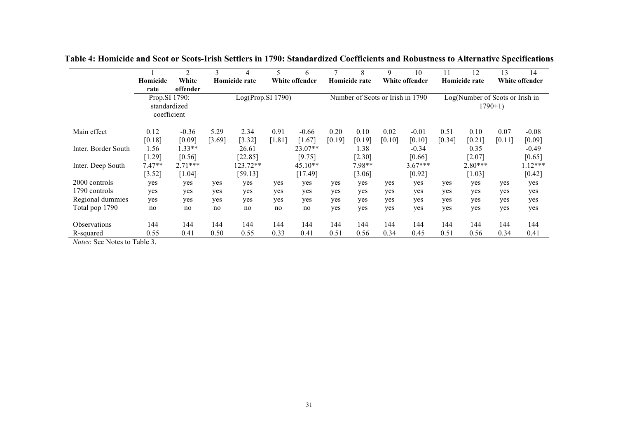|                     |               | $\overline{2}$ | 3      | 4                 | 5        | 6              |        | 8                                | 9      | 10             | 11     | 12                              | 13        | 14             |
|---------------------|---------------|----------------|--------|-------------------|----------|----------------|--------|----------------------------------|--------|----------------|--------|---------------------------------|-----------|----------------|
|                     | Homicide      | White          |        | Homicide rate     |          | White offender |        | Homicide rate                    |        | White offender |        | Homicide rate                   |           | White offender |
|                     | rate          | offender       |        |                   |          |                |        |                                  |        |                |        |                                 |           |                |
|                     | Prop.SI 1790: |                |        | Log(Prop.SI 1790) |          |                |        | Number of Scots or Irish in 1790 |        |                |        | Log(Number of Scots or Irish in |           |                |
|                     | standardized  |                |        |                   |          |                |        |                                  |        |                |        |                                 | $1790+1)$ |                |
|                     | coefficient   |                |        |                   |          |                |        |                                  |        |                |        |                                 |           |                |
|                     |               |                |        |                   |          |                |        |                                  |        |                |        |                                 |           |                |
| Main effect         | 0.12          | $-0.36$        | 5.29   | 2.34              | 0.91     | $-0.66$        | 0.20   | 0.10                             | 0.02   | $-0.01$        | 0.51   | 0.10                            | 0.07      | $-0.08$        |
|                     | [0.18]        | [0.09]         | [3.69] | [3.32]            | $[1.81]$ | $[1.67]$       | [0.19] | [0.19]                           | [0.10] | [0.10]         | [0.34] | [0.21]                          | [0.11]    | [0.09]         |
| Inter. Border South | l.56          | $1.33**$       |        | 26.61             |          | 23.07**        |        | 1.38                             |        | $-0.34$        |        | 0.35                            |           | $-0.49$        |
|                     | [1.29]        | [0.56]         |        | [22.85]           |          | [9.75]         |        | [2.30]                           |        | [0.66]         |        | $[2.07]$                        |           | [0.65]         |
| Inter. Deep South   | $7.47**$      | $2.71***$      |        | $123.72**$        |          | $45.10**$      |        | 7.98**                           |        | $3.67***$      |        | $2.80***$                       |           | $1.12***$      |
|                     | [3.52]        | [1.04]         |        | [59.13]           |          | [17.49]        |        | $[3.06]$                         |        | [0.92]         |        | [1.03]                          |           | [0.42]         |
| 2000 controls       | yes           | yes            | yes    | yes               | yes      | yes            | yes    | yes                              | yes    | yes            | yes    | yes                             | yes       | yes            |
| 1790 controls       | yes           | yes            | yes    | yes               | yes      | yes            | yes    | yes                              | yes    | yes            | yes    | yes                             | yes       | yes            |
| Regional dummies    | yes           | yes            | yes    | yes               | yes      | yes            | yes    | yes                              | yes    | yes            | yes    | yes                             | yes       | yes            |
| Total pop 1790      | no            | no             | no     | no                | no       | no             | yes    | yes                              | yes    | yes            | yes    | yes                             | yes       | yes            |
|                     |               |                |        |                   |          |                |        |                                  |        |                |        |                                 |           |                |
| Observations        | 144           | 144            | 144    | 144               | 144      | 144            | 144    | 144                              | 144    | 144            | 144    | 144                             | 144       | 144            |
| R-squared           | 0.55          | 0.41           | 0.50   | 0.55              | 0.33     | 0.41           | 0.51   | 0.56                             | 0.34   | 0.45           | 0.51   | 0.56                            | 0.34      | 0.41           |

**Table 4: Homicide and Scot or Scots-Irish Settlers in 1790: Standardized Coefficients and Robustness to Alternative Specifications**

*Notes*: See Notes to Table 3.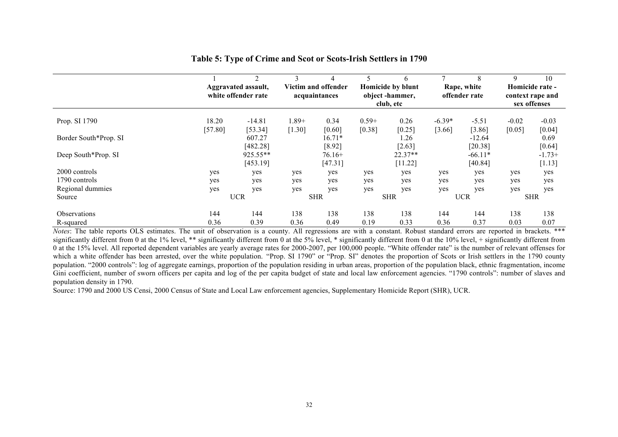|                       |                  | $\mathfrak{D}$                             | 3                 | 4                                    |                   | 6                                                | $\overline{ }$     | 8                            | 9                 | 10                                                  |
|-----------------------|------------------|--------------------------------------------|-------------------|--------------------------------------|-------------------|--------------------------------------------------|--------------------|------------------------------|-------------------|-----------------------------------------------------|
|                       |                  | Aggravated assault,<br>white offender rate |                   | Victim and offender<br>acquaintances |                   | Homicide by blunt<br>object-hammer,<br>club, etc |                    | Rape, white<br>offender rate |                   | Homicide rate -<br>context rape and<br>sex offenses |
| Prop. SI 1790         | 18.20<br>[57.80] | $-14.81$<br>[53.34]                        | l.89+<br>$[1.30]$ | 0.34<br>[0.60]                       | $0.59+$<br>[0.38] | 0.26<br>[0.25]                                   | $-6.39*$<br>[3.66] | $-5.51$<br>[3.86]            | $-0.02$<br>[0.05] | $-0.03$<br>[0.04]                                   |
| Border South*Prop. SI |                  | 607.27<br>[482.28]                         |                   | $16.71*$<br>[8.92]                   |                   | 1.26<br>[2.63]                                   |                    | $-12.64$<br>[20.38]          |                   | 0.69<br>[0.64]                                      |
| Deep South*Prop. SI   |                  | 925.55**<br>[453.19]                       |                   | $76.16+$<br>[47.31]                  |                   | 22.37**<br>[11.22]                               |                    | $-66.11*$<br>[40.84]         |                   | $-1.73+$<br>[1.13]                                  |
| 2000 controls         | yes              | yes                                        | yes               | yes                                  | yes               | yes                                              | yes                | yes                          | yes               | yes                                                 |
| 1790 controls         | yes              | yes                                        | yes               | yes                                  | yes               | yes                                              | yes                | yes                          | yes               | yes                                                 |
| Regional dummies      | yes              | yes                                        | yes               | yes                                  | yes               | yes                                              | yes                | yes                          | yes               | yes                                                 |
| Source                |                  | <b>UCR</b>                                 |                   | <b>SHR</b>                           |                   | <b>SHR</b>                                       |                    | <b>UCR</b>                   |                   | <b>SHR</b>                                          |
| <b>Observations</b>   | 144              | 144                                        | 138               | 138                                  | 138               | 138                                              | 144                | 144                          | 138               | 138                                                 |
| R-squared             | 0.36             | 0.39                                       | 0.36              | 0.49                                 | 0.19              | 0.33                                             | 0.36               | 0.37                         | 0.03              | 0.07                                                |

#### **Table 5: Type of Crime and Scot or Scots-Irish Settlers in 1790**

*Notes*: The table reports OLS estimates. The unit of observation is a county. All regressions are with a constant. Robust standard errors are reported in brackets. \*\*\* significantly different from 0 at the 1% level, \*\* significantly different from 0 at the 5% level, \* significantly different from 0 at the 10% level, + significantly different from 0 at the 15% level. All reported dependent variables are yearly average rates for 2000-2007, per 100,000 people. "White offender rate" is the number of relevant offenses for which a white offender has been arrested, over the white population. "Prop. SI 1790" or "Prop. SI" denotes the proportion of Scots or Irish settlers in the 1790 county population. "2000 controls": log of aggregate earnings, proportion of the population residing in urban areas, proportion of the population black, ethnic fragmentation, income Gini coefficient, number of sworn officers per capita and log of the per capita budget of state and local law enforcement agencies. "1790 controls": number of slaves and population density in 1790.

Source: 1790 and 2000 US Censi, 2000 Census of State and Local Law enforcement agencies, Supplementary Homicide Report (SHR), UCR.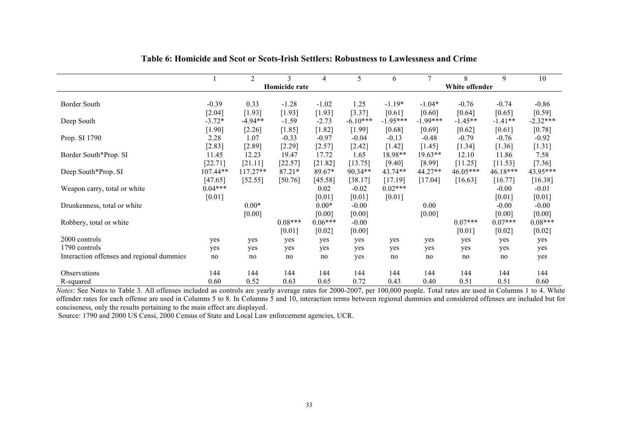|                                           |           | $\overline{2}$ | 3             | 4         | 5          | 6          | $\overline{7}$ | 8              | 9         | 10         |
|-------------------------------------------|-----------|----------------|---------------|-----------|------------|------------|----------------|----------------|-----------|------------|
|                                           |           |                | Homicide rate |           |            |            |                | White offender |           |            |
|                                           |           |                |               |           |            |            |                |                |           |            |
| Border South                              | $-0.39$   | 0.33           | $-1.28$       | $-1.02$   | 1.25       | $-1.19*$   | $-1.04*$       | $-0.76$        | $-0.74$   | $-0.86$    |
|                                           | $[2.04]$  | [1.93]         | [1.93]        | $[1.93]$  | [3.37]     | [0.61]     | [0.60]         | [0.64]         | [0.65]    | [0.59]     |
| Deep South                                | $-3.72*$  | $-4.94**$      | $-1.59$       | $-2.73$   | $-6.10***$ | $-1.95***$ | $-1.99***$     | $-1.45**$      | $-1.41**$ | $-2.32***$ |
|                                           | $[1.90]$  | $[2.26]$       | [1.85]        | $[1.82]$  | [1.99]     | [0.68]     | [0.69]         | [0.62]         | [0.61]    | [0.78]     |
| Prop. SI 1790                             | 2.28      | 1.07           | $-0.33$       | $-0.97$   | $-0.04$    | $-0.13$    | $-0.48$        | $-0.79$        | $-0.76$   | $-0.92$    |
|                                           | $[2.83]$  | [2.89]         | [2.29]        | $[2.57]$  | $[2.42]$   | [1.42]     | [1.45]         | [1.34]         | [1.36]    | [1.31]     |
| Border South*Prop. SI                     | 11.45     | 12.23          | 19.47         | 17.72     | 1.65       | 18.98**    | 19.63**        | 12.10          | 11.86     | 7.58       |
|                                           | [22.71]   | [21.11]        | [22.57]       | [21.82]   | [13.75]    | [9.40]     | [8.99]         | [11.25]        | [11.53]   | $[7.36]$   |
| Deep South*Prop. SI                       | 107.44**  | $117.27**$     | $87.21*$      | 89.67*    | 90.34**    | 43.74**    | 44.27**        | 46.05***       | 46.18***  | 43.95***   |
|                                           | [47.65]   | [52.55]        | [50.76]       | [45.58]   | [38.17]    | [17.19]    | [17.04]        | [16.63]        | [16.77]   | [16.38]    |
| Weapon carry, total or white              | $0.04***$ |                |               | 0.02      | $-0.02$    | $0.02***$  |                |                | $-0.00$   | $-0.01$    |
|                                           | [0.01]    |                |               | [0.01]    | [0.01]     | [0.01]     |                |                | [0.01]    | [0.01]     |
| Drunkenness, total or white               |           | $0.00*$        |               | $0.00*$   | $-0.00$    |            | 0.00           |                | $-0.00$   | $-0.00$    |
|                                           |           | [0.00]         |               | [0.00]    | [0.00]     |            | [0.00]         |                | [0.00]    | [0.00]     |
| Robbery, total or white                   |           |                | $0.08***$     | $0.06***$ | $-0.00$    |            |                | $0.07***$      | $0.07***$ | $0.08***$  |
|                                           |           |                | [0.01]        | [0.02]    | [0.00]     |            |                | [0.01]         | [0.02]    | [0.02]     |
| 2000 controls                             | yes       | yes            | yes           | yes       | yes        | yes        | yes            | yes            | yes       | yes        |
|                                           |           |                |               |           |            |            |                |                |           |            |
| 1790 controls                             | yes       | yes            | yes           | yes       | yes        | yes        | yes            | yes            | yes       | yes        |
| Interaction offenses and regional dummies | no        | no             | no            | no        | yes        | no         | no             | no             | no        | yes        |
| Observations                              | 144       | 144            | 144           | 144       | 144        | 144        | 144            | 144            | 144       | 144        |
| R-squared                                 | 0.60      | 0.52           | 0.63          | 0.65      | 0.72       | 0.43       | 0.40           | 0.51           | 0.51      | 0.60       |

#### **Table 6: Homicide and Scot or Scots-Irish Settlers: Robustness to Lawlessness and Crime**

*Notes*: See Notes to Table 3. All offenses included as controls are yearly average rates for 2000-2007, per 100,000 people. Total rates are used in Columns 1 to 4. White offender rates for each offense are used in Columns 5 to 8. In Columns 5 and 10, interaction terms between regional dummies and considered offenses are included but for conciseness, only the results pertaining to the main effect are displayed.

Source: 1790 and 2000 US Censi, 2000 Census of State and Local Law enforcement agencies, UCR.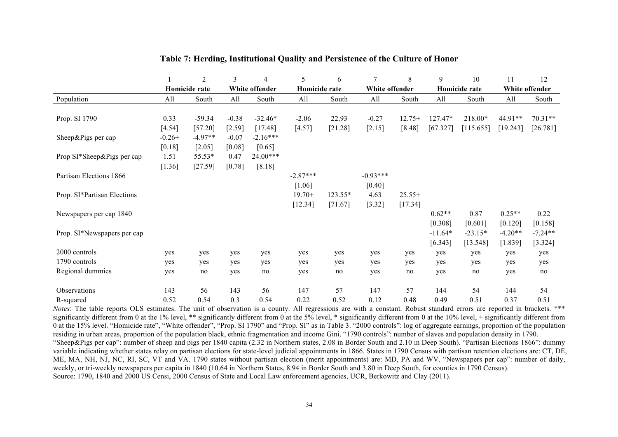|                             |          | $\overline{2}$ | 3       | 4              | 5             | 6         | 7              | 8        | 9             | 10        | 11             | 12        |
|-----------------------------|----------|----------------|---------|----------------|---------------|-----------|----------------|----------|---------------|-----------|----------------|-----------|
|                             |          | Homicide rate  |         | White offender | Homicide rate |           | White offender |          | Homicide rate |           | White offender |           |
| Population                  | All      | South          | All     | South          | All           | South     | All            | South    | All           | South     | All            | South     |
|                             |          |                |         |                |               |           |                |          |               |           |                |           |
| Prop. SI 1790               | 0.33     | $-59.34$       | $-0.38$ | $-32.46*$      | $-2.06$       | 22.93     | $-0.27$        | $12.75+$ | 127.47*       | 218.00*   | 44.91**        | $70.31**$ |
|                             | [4.54]   | [57.20]        | [2.59]  | [17.48]        | [4.57]        | [21.28]   | $[2.15]$       | [8.48]   | [67.327]      | [115.655] | [19.243]       | [26.781]  |
| Sheep&Pigs per cap          | $-0.26+$ | $-4.97**$      | $-0.07$ | $-2.16***$     |               |           |                |          |               |           |                |           |
|                             | [0.18]   | [2.05]         | [0.08]  | [0.65]         |               |           |                |          |               |           |                |           |
| Prop SI*Sheep&Pigs per cap  | 1.51     | 55.53*         | 0.47    | $24.00***$     |               |           |                |          |               |           |                |           |
|                             | $[1.36]$ | $[27.59]$      | [0.78]  | [8.18]         |               |           |                |          |               |           |                |           |
| Partisan Elections 1866     |          |                |         |                | $-2.87***$    |           | $-0.93***$     |          |               |           |                |           |
|                             |          |                |         |                | [1.06]        |           | [0.40]         |          |               |           |                |           |
| Prop. SI*Partisan Elections |          |                |         |                | $19.70+$      | $123.55*$ | 4.63           | $25.55+$ |               |           |                |           |
|                             |          |                |         |                | $[12.34]$     | [71.67]   | [3.32]         | [17.34]  |               |           |                |           |
| Newspapers per cap 1840     |          |                |         |                |               |           |                |          | $0.62**$      | 0.87      | $0.25**$       | 0.22      |
|                             |          |                |         |                |               |           |                |          | [0.308]       | [0.601]   | [0.120]        | [0.158]   |
| Prop. SI*Newspapers per cap |          |                |         |                |               |           |                |          | $-11.64*$     | $-23.15*$ | $-4.20**$      | $-7.24**$ |
|                             |          |                |         |                |               |           |                |          | [6.343]       | [13.548]  | [1.839]        | [3.324]   |
| 2000 controls               | yes      | yes            | yes     | yes            | yes           | yes       | yes            | yes      | yes           | yes       | yes            | yes       |
| 1790 controls               | yes      | yes            | yes     | yes            | yes           | yes       | yes            | yes      | yes           | yes       | yes            | yes       |
| Regional dummies            | yes      | no             | yes     | no             | yes           | no        | yes            | no       | yes           | no        | yes            | no        |
|                             |          |                |         |                |               |           |                |          |               |           |                |           |
| <b>Observations</b>         | 143      | 56             | 143     | 56             | 147           | 57        | 147            | 57       | 144           | 54        | 144            | 54        |
| R-squared                   | 0.52     | 0.54           | 0.3     | 0.54           | 0.22          | 0.52      | 0.12           | 0.48     | 0.49          | 0.51      | 0.37           | 0.51      |

#### **Table 7: Herding, Institutional Quality and Persistence of the Culture of Honor**

*Notes*: The table reports OLS estimates. The unit of observation is a county. All regressions are with a constant. Robust standard errors are reported in brackets. \*\*\* significantly different from 0 at the 1% level, \*\* significantly different from 0 at the 5% level, \* significantly different from 0 at the 10% level, + significantly different from 0 at the 15% level. "Homicide rate", "White offender", "Prop. SI 1790" and "Prop. SI" as in Table 3. "2000 controls": log of aggregate earnings, proportion of the population residing in urban areas, proportion of the population black, ethnic fragmentation and income Gini. "1790 controls": number of slaves and population density in 1790. "Sheep&Pigs per cap": number of sheep and pigs per 1840 capita (2.32 in Northern states, 2.08 in Border South and 2.10 in Deep South). "Partisan Elections 1866": dummy variable indicating whether states relay on partisan elections for state-level judicial appointments in 1866. States in 1790 Census with partisan retention elections are: CT, DE, ME, MA, NH, NJ, NC, RI, SC, VT and VA. 1790 states without partisan election (merit appointments) are: MD, PA and WV. "Newspapers per cap": number of daily, weekly, or tri-weekly newspapers per capita in 1840 (10.64 in Northern States, 8.94 in Border South and 3.80 in Deep South, for counties in 1790 Census). Source: 1790, 1840 and 2000 US Censi, 2000 Census of State and Local Law enforcement agencies, UCR, Berkowitz and Clay (2011).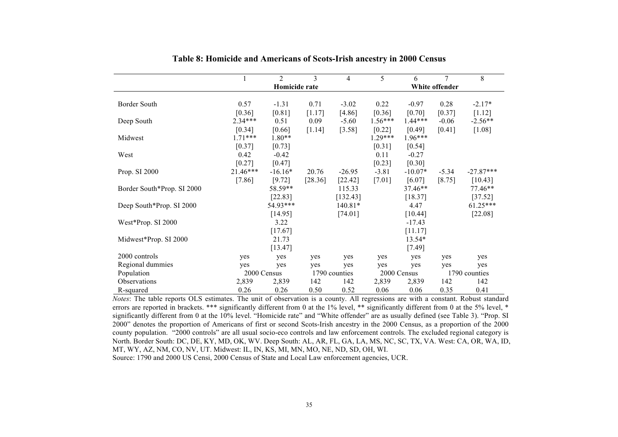|                            |            | $\overline{2}$ | 3       | $\overline{4}$ | 5         | 6           | $\overline{7}$ | 8             |
|----------------------------|------------|----------------|---------|----------------|-----------|-------------|----------------|---------------|
|                            |            | Homicide rate  |         |                |           |             | White offender |               |
|                            |            |                |         |                |           |             |                |               |
| Border South               | 0.57       | $-1.31$        | 0.71    | $-3.02$        | 0.22      | $-0.97$     | 0.28           | $-2.17*$      |
|                            | [0.36]     | [0.81]         | [1.17]  | [4.86]         | [0.36]    | [0.70]      | [0.37]         | [1.12]        |
| Deep South                 | $2.34***$  | 0.51           | 0.09    | $-5.60$        | $1.56***$ | $1.44***$   | $-0.06$        | $-2.56**$     |
|                            | [0.34]     | [0.66]         | [1.14]  | [3.58]         | [0.22]    | [0.49]      | [0.41]         | [1.08]        |
| Midwest                    | $1.71***$  | 1.80**         |         |                | $1.29***$ | $1.96***$   |                |               |
|                            | [0.37]     | [0.73]         |         |                | [0.31]    | [0.54]      |                |               |
| West                       | 0.42       | $-0.42$        |         |                | 0.11      | $-0.27$     |                |               |
|                            | [0.27]     | [0.47]         |         |                | [0.23]    | [0.30]      |                |               |
| Prop. SI 2000              | $21.46***$ | $-16.16*$      | 20.76   | $-26.95$       | $-3.81$   | $-10.07*$   | $-5.34$        | $-27.87***$   |
|                            | $[7.86]$   | [9.72]         | [28.36] | [22.42]        | $[7.01]$  | [6.07]      | [8.75]         | [10.43]       |
| Border South*Prop. SI 2000 |            | 58.59**        |         | 115.33         |           | 37.46**     |                | 77.46**       |
|                            |            | $[22.83]$      |         | [132.43]       |           | [18.37]     |                | $[37.52]$     |
| Deep South*Prop. SI 2000   |            | 54.93***       |         | 140.81*        |           | 4.47        |                | $61.25***$    |
|                            |            | [14.95]        |         | [74.01]        |           | [10.44]     |                | [22.08]       |
| West*Prop. SI 2000         |            | 3.22           |         |                |           | $-17.43$    |                |               |
|                            |            | [17.67]        |         |                |           | [11.17]     |                |               |
| Midwest*Prop. SI 2000      |            | 21.73          |         |                |           | 13.54*      |                |               |
|                            |            | [13.47]        |         |                |           | $[7.49]$    |                |               |
| 2000 controls              | yes        | yes            | yes     | yes            | yes       | yes         | yes            | yes           |
| Regional dummies           | yes        | yes            | yes     | yes            | yes       | yes         | yes            | yes           |
| Population                 |            | 2000 Census    |         | 1790 counties  |           | 2000 Census |                | 1790 counties |
| Observations               | 2,839      | 2,839          | 142     | 142            | 2,839     | 2,839       | 142            | 142           |
| R-squared                  | 0.26       | 0.26           | 0.50    | 0.52           | 0.06      | 0.06        | 0.35           | 0.41          |

**Table 8: Homicide and Americans of Scots-Irish ancestry in 2000 Census**

*Notes*: The table reports OLS estimates. The unit of observation is a county. All regressions are with a constant. Robust standard errors are reported in brackets. \*\*\* significantly different from 0 at the 1% level, \*\* significantly different from 0 at the 5% level, \* significantly different from 0 at the 10% level. "Homicide rate" and "White offender" are as usually defined (see Table 3). "Prop. SI 2000" denotes the proportion of Americans of first or second Scots-Irish ancestry in the 2000 Census, as a proportion of the 2000 county population. "2000 controls" are all usual socio-eco controls and law enforcement controls. The excluded regional category is North. Border South: DC, DE, KY, MD, OK, WV. Deep South: AL, AR, FL, GA, LA, MS, NC, SC, TX, VA. West: CA, OR, WA, ID, MT, WY, AZ, NM, CO, NV, UT. Midwest: IL, IN, KS, MI, MN, MO, NE, ND, SD, OH, WI. Source: 1790 and 2000 US Censi, 2000 Census of State and Local Law enforcement agencies, UCR.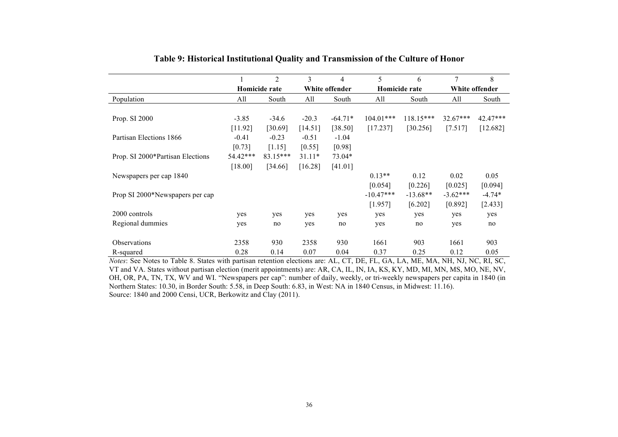|                                  |          | $\overline{2}$ | 3        | $\overline{4}$ | 5           | 6             | 7              | 8          |
|----------------------------------|----------|----------------|----------|----------------|-------------|---------------|----------------|------------|
|                                  |          | Homicide rate  |          | White offender |             | Homicide rate | White offender |            |
| Population                       | All      | South          | All      | South          | All         | South         | All            | South      |
|                                  |          |                |          |                |             |               |                |            |
| Prop. SI 2000                    | $-3.85$  | $-34.6$        | $-20.3$  | $-64.71*$      | $104.01***$ | $118.15***$   | $32.67***$     | $42.47***$ |
|                                  | [11.92]  | [30.69]        | [14.51]  | [38.50]        | [17.237]    | [30.256]      | [7.517]        | [12.682]   |
| Partisan Elections 1866          | $-0.41$  | $-0.23$        | $-0.51$  | $-1.04$        |             |               |                |            |
|                                  | [0.73]   | [1.15]         | [0.55]   | [0.98]         |             |               |                |            |
| Prop. SI 2000*Partisan Elections | 54.42*** | $83.15***$     | $31.11*$ | 73.04*         |             |               |                |            |
|                                  | [18.00]  | [34.66]        | [16.28]  | [41.01]        |             |               |                |            |
| Newspapers per cap 1840          |          |                |          |                | $0.13**$    | 0.12          | 0.02           | 0.05       |
|                                  |          |                |          |                | [0.054]     | [0.226]       | [0.025]        | [0.094]    |
| Prop SI 2000*Newspapers per cap  |          |                |          |                | $-10.47***$ | $-13.68**$    | $-3.62***$     | $-4.74*$   |
|                                  |          |                |          |                | [1.957]     | [6.202]       | [0.892]        | [2.433]    |
| 2000 controls                    | yes      | yes            | yes      | yes            | yes         | yes           | yes            | yes        |
| Regional dummies                 | yes      | no             | yes      | no             | yes         | no            | yes            | no         |
| Observations                     | 2358     | 930            | 2358     | 930            | 1661        | 903           | 1661           | 903        |
| R-squared                        | 0.28     | 0.14           | 0.07     | 0.04           | 0.37        | 0.25          | 0.12           | 0.05       |

#### **Table 9: Historical Institutional Quality and Transmission of the Culture of Honor**

*Notes*: See Notes to Table 8. States with partisan retention elections are: AL, CT, DE, FL, GA, LA, ME, MA, NH, NJ, NC, RI, SC, VT and VA. States without partisan election (merit appointments) are: AR, CA, IL, IN, IA, KS, KY, MD, MI, MN, MS, MO, NE, NV, OH, OR, PA, TN, TX, WV and WI. "Newspapers per cap": number of daily, weekly, or tri-weekly newspapers per capita in 1840 (in Northern States: 10.30, in Border South: 5.58, in Deep South: 6.83, in West: NA in 1840 Census, in Midwest: 11.16). Source: 1840 and 2000 Censi, UCR, Berkowitz and Clay (2011).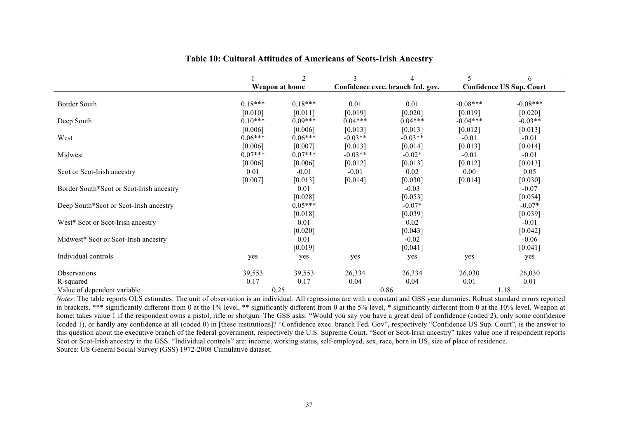|                                          |           | 2              | 3         | 4                                 | 5          | 6                               |
|------------------------------------------|-----------|----------------|-----------|-----------------------------------|------------|---------------------------------|
|                                          |           | Weapon at home |           | Confidence exec. branch fed. gov. |            | <b>Confidence US Sup. Court</b> |
|                                          |           |                |           |                                   |            |                                 |
| Border South                             | $0.18***$ | $0.18***$      | 0.01      | 0.01                              | $-0.08***$ | $-0.08***$                      |
|                                          | [0.010]   | [0.011]        | [0.019]   | [0.020]                           | [0.019]    | [0.020]                         |
| Deep South                               | $0.10***$ | $0.09***$      | $0.04***$ | $0.04***$                         | $-0.04***$ | $-0.03**$                       |
|                                          | [0.006]   | [0.006]        | [0.013]   | [0.013]                           | [0.012]    | [0.013]                         |
| West                                     | $0.06***$ | $0.06***$      | $-0.03**$ | $-0.03**$                         | $-0.01$    | $-0.01$                         |
|                                          | [0.006]   | [0.007]        | [0.013]   | [0.014]                           | [0.013]    | [0.014]                         |
| Midwest                                  | $0.07***$ | $0.07***$      | $-0.03**$ | $-0.02*$                          | $-0.01$    | $-0.01$                         |
|                                          | [0.006]   | [0.006]        | [0.012]   | [0.013]                           | [0.012]    | [0.013]                         |
| Scot or Scot-Irish ancestry              | 0.01      | $-0.01$        | $-0.01$   | 0.02                              | 0.00       | 0.05                            |
|                                          | [0.007]   | [0.013]        | [0.014]   | [0.030]                           | [0.014]    | [0.030]                         |
| Border South*Scot or Scot-Irish ancestry |           | 0.01           |           | $-0.03$                           |            | $-0.07$                         |
|                                          |           | [0.028]        |           | [0.053]                           |            | [0.054]                         |
| Deep South*Scot or Scot-Irish ancestry   |           | $0.05***$      |           | $-0.07*$                          |            | $-0.07*$                        |
|                                          |           | [0.018]        |           | [0.039]                           |            | [0.039]                         |
| West* Scot or Scot-Irish ancestry        |           | 0.01           |           | 0.02                              |            | $-0.01$                         |
|                                          |           | [0.020]        |           | [0.043]                           |            | [0.042]                         |
| Midwest* Scot or Scot-Irish ancestry     |           | 0.01           |           | $-0.02$                           |            | $-0.06$                         |
|                                          |           | [0.019]        |           | [0.041]                           |            | [0.041]                         |
| Individual controls                      | yes       | yes            | yes       | yes                               | yes        | yes                             |
| Observations                             | 39,553    | 39,553         | 26,334    | 26,334                            | 26,030     | 26,030                          |
| R-squared                                | 0.17      | 0.17           | 0.04      | 0.04                              | 0.01       | 0.01                            |
| Value of dependent variable              |           | 0.25           |           | 0.86                              |            | 1.18                            |

#### **Table 10: Cultural Attitudes of Americans of Scots-Irish Ancestry**

*Notes*: The table reports OLS estimates. The unit of observation is an individual. All regressions are with a constant and GSS year dummies. Robust standard errors reported in brackets. \*\*\* significantly different from 0 at the 1% level, \*\* significantly different from 0 at the 5% level, \* significantly different from 0 at the 10% level. Weapon at home: takes value 1 if the respondent owns a pistol, rifle or shotgun. The GSS asks: "Would you say you have a great deal of confidence (coded 2), only some confidence (coded 1), or hardly any confidence at all (coded 0) in [these institutions]? "Confidence exec. branch Fed. Gov", respectively "Confidence US Sup. Court", is the answer to this question about the executive branch of the federal government, respectively the U.S. Supreme Court. "Scot or Scot-Irish ancestry" takes value one if respondent reports Scot or Scot-Irish ancestry in the GSS. "Individual controls" are: income, working status, self-employed, sex, race, born in US, size of place of residence. Source: US General Social Survey (GSS) 1972-2008 Cumulative dataset.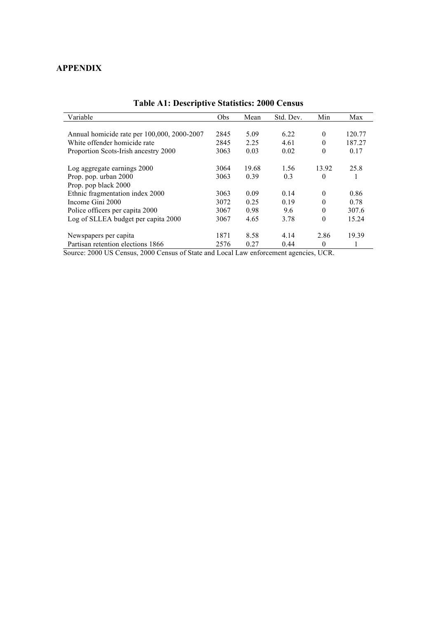### **APPENDIX**

| Variable                                    | Obs  | Mean  | Std. Dev. | Min      | Max    |
|---------------------------------------------|------|-------|-----------|----------|--------|
|                                             |      |       |           |          |        |
| Annual homicide rate per 100,000, 2000-2007 | 2845 | 5.09  | 6.22      | $\theta$ | 120.77 |
| White offender homicide rate                | 2845 | 2.25  | 4.61      | 0        | 187.27 |
| Proportion Scots-Irish ancestry 2000        | 3063 | 0.03  | 0.02      | $\theta$ | 0.17   |
| Log aggregate earnings 2000                 | 3064 | 19.68 | 1.56      | 13.92    | 25.8   |
| Prop. pop. urban 2000                       | 3063 | 0.39  | 0.3       | $\theta$ |        |
| Prop. pop black 2000                        |      |       |           |          |        |
| Ethnic fragmentation index 2000             | 3063 | 0.09  | 0.14      | $\theta$ | 0.86   |
| Income Gini 2000                            | 3072 | 0.25  | 0.19      | $\theta$ | 0.78   |
| Police officers per capita 2000             | 3067 | 0.98  | 9.6       | $\theta$ | 307.6  |
| Log of SLLEA budget per capita 2000         | 3067 | 4.65  | 3.78      | $\theta$ | 15.24  |
| Newspapers per capita                       | 1871 | 8.58  | 4.14      | 2.86     | 19.39  |
| Partisan retention elections 1866           | 2576 | 0.27  | 0.44      | $\theta$ |        |

## **Table A1: Descriptive Statistics: 2000 Census**

Source: 2000 US Census, 2000 Census of State and Local Law enforcement agencies, UCR.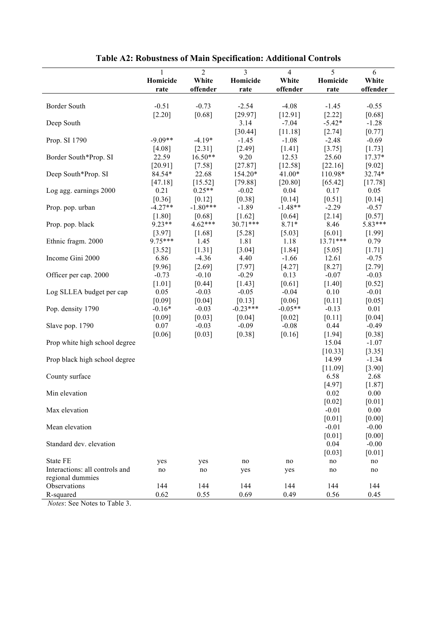|                                | 1                 | $\overline{2}$    | 3              | $\overline{4}$      | 5                    | 6                   |
|--------------------------------|-------------------|-------------------|----------------|---------------------|----------------------|---------------------|
|                                | Homicide          | White             | Homicide       | White               | Homicide             | White               |
|                                | rate              | offender          | rate           | offender            | rate                 | offender            |
|                                |                   |                   |                |                     |                      |                     |
| Border South                   | $-0.51$           | $-0.73$           | $-2.54$        | $-4.08$             | $-1.45$              | $-0.55$             |
|                                | [2.20]            | [0.68]            | [29.97]        | [12.91]             | $[2.22]$             | $[0.68]$            |
| Deep South                     |                   |                   | 3.14           | $-7.04$             | $-5.42*$             | $-1.28$             |
|                                |                   |                   | [30.44]        | [11.18]             | [2.74]               | [0.77]              |
| Prop. SI 1790                  | $-9.09**$         | $-4.19*$          | $-1.45$        | $-1.08$             | $-2.48$              | $-0.69$             |
|                                | [4.08]            | [2.31]            | [2.49]         | [1.41]              | [3.75]               | [1.73]              |
| Border South*Prop. SI          | 22.59             | $16.50**$         | 9.20           | 12.53               | 25.60                | $17.37*$            |
|                                | [20.91]           | $[7.58]$          | [27.87]        | [12.58]             | [22.16]              | $[9.02]$            |
| Deep South*Prop. SI            | 84.54*            | 22.68             | 154.20*        | 41.00*              | 110.98*              | 32.74*              |
|                                | [47.18]           | [15.52]           | [79.88]        | [20.80]             | [65.42]              | [17.78]             |
| Log agg. earnings 2000         | 0.21              | $0.25**$          | $-0.02$        | 0.04                | 0.17                 | 0.05                |
|                                | [0.36]            | [0.12]            | [0.38]         | [0.14]              | $[0.51]$             | $[0.14]$            |
| Prop. pop. urban               | $-4.27**$         | $-1.80***$        | $-1.89$        | $-1.48**$           | $-2.29$              | $-0.57$             |
|                                | $[1.80]$          | [0.68]            | $[1.62]$       | [0.64]              | [2.14]               | [0.57]              |
| Prop. pop. black               | $9.23**$          | 4.62***           | 30.71***       | $8.71*$             | 8.46                 | 5.83***             |
|                                | [3.97]<br>9.75*** | [1.68]            | [5.28]         | [5.03]              | [6.01]<br>$13.71***$ | [1.99]              |
| Ethnic fragm. 2000             |                   | 1.45              | 1.81           | 1.18                |                      | 0.79                |
| Income Gini 2000               | [3.52]<br>6.86    | [1.31]<br>$-4.36$ | [3.04]<br>4.40 | [1.84]              | $[5.05]$<br>12.61    | [1.71]              |
|                                | [9.96]            | $[2.69]$          | [7.97]         | $-1.66$<br>$[4.27]$ | $[8.27]$             | $-0.75$             |
| Officer per cap. 2000          | $-0.73$           | $-0.10$           | $-0.29$        | 0.13                | $-0.07$              | $[2.79]$<br>$-0.03$ |
|                                | $[1.01]$          | $[0.44]$          | $[1.43]$       | $[0.61]$            | $[1.40]$             | $[0.52]$            |
| Log SLLEA budget per cap       | 0.05              | $-0.03$           | $-0.05$        | $-0.04$             | 0.10                 | $-0.01$             |
|                                | [0.09]            | [0.04]            | [0.13]         | [0.06]              | $[0.11]$             | $[0.05]$            |
| Pop. density 1790              | $-0.16*$          | $-0.03$           | $-0.23***$     | $-0.05**$           | $-0.13$              | 0.01                |
|                                | [0.09]            | [0.03]            | [0.04]         | [0.02]              | [0.11]               | [0.04]              |
| Slave pop. 1790                | 0.07              | $-0.03$           | $-0.09$        | $-0.08$             | 0.44                 | $-0.49$             |
|                                | [0.06]            | $[0.03]$          | [0.38]         | [0.16]              | [1.94]               | [0.38]              |
| Prop white high school degree  |                   |                   |                |                     | 15.04                | $-1.07$             |
|                                |                   |                   |                |                     | [10.33]              | $[3.35]$            |
| Prop black high school degree  |                   |                   |                |                     | 14.99                | $-1.34$             |
|                                |                   |                   |                |                     | [11.09]              | $[3.90]$            |
| County surface                 |                   |                   |                |                     | 6.58                 | 2.68                |
|                                |                   |                   |                |                     | [4.97]               | $[1.87]$            |
| Min elevation                  |                   |                   |                |                     | 0.02                 | 0.00                |
|                                |                   |                   |                |                     | [0.02]               | $[0.01]$            |
| Max elevation                  |                   |                   |                |                     | $-0.01$              | 0.00                |
|                                |                   |                   |                |                     | [0.01]               | [0.00]              |
| Mean elevation                 |                   |                   |                |                     | $-0.01$              | $-0.00$             |
|                                |                   |                   |                |                     | [0.01]               | [0.00]              |
| Standard dev. elevation        |                   |                   |                |                     | 0.04                 | $-0.00$             |
|                                |                   |                   |                |                     | [0.03]               | $[0.01]$            |
| State FE                       | yes               | yes               | no             | no                  | no                   | no                  |
| Interactions: all controls and | no                | no                | yes            | yes                 | no                   | no                  |
| regional dummies               |                   |                   |                |                     |                      |                     |
| Observations                   | 144               | 144               | 144            | 144                 | 144                  | 144                 |
| R-squared                      | 0.62              | 0.55              | 0.69           | 0.49                | 0.56                 | 0.45                |

# **Table A2: Robustness of Main Specification: Additional Controls**

*Notes*: See Notes to Table 3.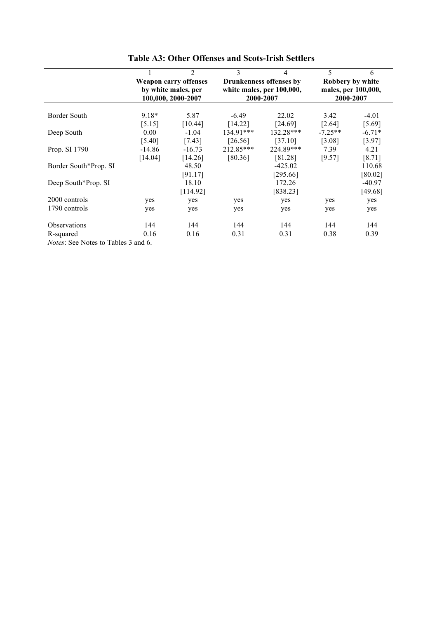|                       |                                                     | 2                  | 3         | 4                         | 5                                       | 6        |  |
|-----------------------|-----------------------------------------------------|--------------------|-----------|---------------------------|-----------------------------------------|----------|--|
|                       | <b>Weapon carry offenses</b><br>by white males, per |                    |           | Drunkenness offenses by   | Robbery by white<br>males, per 100,000, |          |  |
|                       |                                                     |                    |           | white males, per 100,000, |                                         |          |  |
|                       |                                                     | 100,000, 2000-2007 | 2000-2007 |                           | 2000-2007                               |          |  |
|                       |                                                     |                    |           |                           |                                         |          |  |
| Border South          | 9.18*                                               | 5.87               | $-6.49$   | 22.02                     | 3.42                                    | $-4.01$  |  |
|                       | [5.15]                                              | [10.44]            | [14.22]   | [24.69]                   | [2.64]                                  | [5.69]   |  |
| Deep South            | 0.00                                                | $-1.04$            | 134.91*** | 132.28***                 | $-7.25**$                               | $-6.71*$ |  |
|                       | [5.40]                                              | [7.43]             | $[26.56]$ | [37.10]                   | [3.08]                                  | [3.97]   |  |
| Prop. SI 1790         | $-14.86$                                            | $-16.73$           | 212.85*** | 224.89***                 | 7.39                                    | 4.21     |  |
|                       | [14.04]                                             | [14.26]            | [80.36]   | [81.28]                   | [9.57]                                  | [8.71]   |  |
| Border South*Prop. SI |                                                     | 48.50              |           | $-425.02$                 |                                         | 110.68   |  |
|                       |                                                     | [91.17]            |           | [295.66]                  |                                         | [80.02]  |  |
| Deep South*Prop. SI   |                                                     | 18.10              |           | 172.26                    |                                         | $-40.97$ |  |
|                       |                                                     | [114.92]           |           | [838.23]                  |                                         | [49.68]  |  |
| 2000 controls         | yes                                                 | yes                | yes       | yes                       | yes                                     | yes      |  |
| 1790 controls         | yes                                                 | yes                | yes       | yes                       | yes                                     | yes      |  |
|                       |                                                     |                    |           |                           |                                         |          |  |
| <b>Observations</b>   | 144                                                 | 144                | 144       | 144                       | 144                                     | 144      |  |
| R-squared             | 0.16                                                | 0.16               | 0.31      | 0.31                      | 0.38                                    | 0.39     |  |

| <b>Table A3: Other Offenses and Scots-Irish Settlers</b> |
|----------------------------------------------------------|
|----------------------------------------------------------|

*Notes*: See Notes to Tables 3 and 6.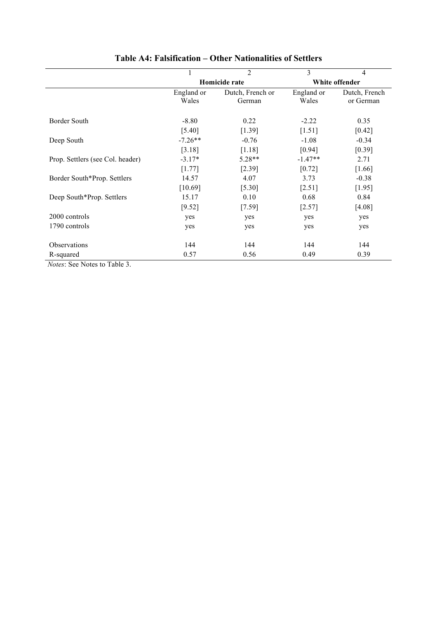|                                  |                                | $\overline{2}$ | 3          | 4                    |  |  |  |  |  |
|----------------------------------|--------------------------------|----------------|------------|----------------------|--|--|--|--|--|
|                                  |                                | Homicide rate  |            | White offender       |  |  |  |  |  |
|                                  | England or<br>Dutch, French or |                | England or | Dutch, French        |  |  |  |  |  |
|                                  | Wales                          | German         | Wales      | or German            |  |  |  |  |  |
|                                  |                                |                |            |                      |  |  |  |  |  |
| Border South                     | $-8.80$                        | 0.22           | $-2.22$    | 0.35                 |  |  |  |  |  |
|                                  | [5.40]                         | [1.39]         | [1.51]     | [0.42]               |  |  |  |  |  |
| Deep South                       | $-7.26**$                      | $-0.76$        | $-1.08$    | $-0.34$              |  |  |  |  |  |
|                                  | [3.18]                         | [1.18]         | [0.94]     | [0.39]               |  |  |  |  |  |
| Prop. Settlers (see Col. header) | $-3.17*$                       | $5.28**$       | $-1.47**$  | 2.71                 |  |  |  |  |  |
|                                  | [1.77]                         | $[2.39]$       | [0.72]     | $\lceil 1.66 \rceil$ |  |  |  |  |  |
| Border South*Prop. Settlers      | 14.57                          | 4.07           | 3.73       | $-0.38$              |  |  |  |  |  |
|                                  | [10.69]                        | $[5.30]$       | [2.51]     | [1.95]               |  |  |  |  |  |
| Deep South*Prop. Settlers        | 15.17                          | 0.10           | 0.68       | 0.84                 |  |  |  |  |  |
|                                  | [9.52]                         | $[7.59]$       | [2.57]     | $[4.08]$             |  |  |  |  |  |
| 2000 controls                    | yes                            | yes            | yes        | yes                  |  |  |  |  |  |
| 1790 controls                    | yes                            | yes            | yes        | yes                  |  |  |  |  |  |
|                                  |                                |                |            |                      |  |  |  |  |  |
| <b>Observations</b>              | 144                            | 144            | 144        | 144                  |  |  |  |  |  |
| R-squared                        | 0.57                           | 0.56           | 0.49       | 0.39                 |  |  |  |  |  |

## **Table A4: Falsification – Other Nationalities of Settlers**

*Notes*: See Notes to Table 3.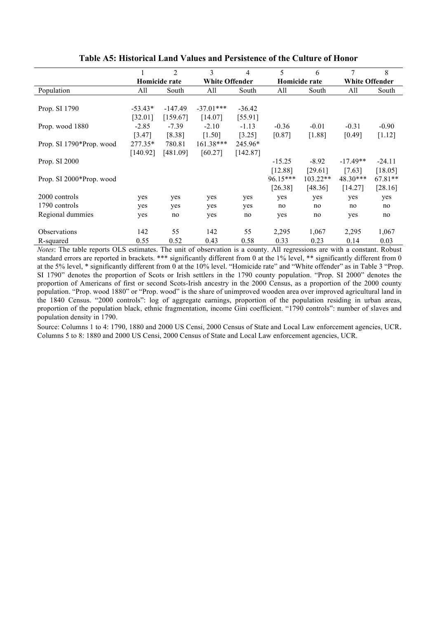|                          |               | $\overline{2}$ | 3                     | 4        | 5          | 6             | $\overline{7}$        | 8         |
|--------------------------|---------------|----------------|-----------------------|----------|------------|---------------|-----------------------|-----------|
|                          | Homicide rate |                | <b>White Offender</b> |          |            | Homicide rate | <b>White Offender</b> |           |
| Population               | All           | South          | All                   | South    | All        | South         | All                   | South     |
|                          |               |                |                       |          |            |               |                       |           |
| Prop. SI 1790            | $-53.43*$     | $-147.49$      | $-37.01***$           | $-36.42$ |            |               |                       |           |
|                          | [32.01]       | [159.67]       | [14.07]               | [55.91]  |            |               |                       |           |
| Prop. wood 1880          | $-2.85$       | $-7.39$        | $-2.10$               | $-1.13$  | $-0.36$    | $-0.01$       | $-0.31$               | $-0.90$   |
|                          | [3.47]        | [8.38]         | [1.50]                | [3.25]   | [0.87]     | $[1.88]$      | [0.49]                | [1.12]    |
| Prop. SI 1790*Prop. wood | 277.35*       | 780.81         | $161.38***$           | 245.96*  |            |               |                       |           |
|                          | [140.92]      | [481.09]       | [60.27]               | [142.87] |            |               |                       |           |
| Prop. SI 2000            |               |                |                       |          | $-15.25$   | $-8.92$       | $-17.49**$            | $-24.11$  |
|                          |               |                |                       |          | [12.88]    | [29.61]       | [7.63]                | [18.05]   |
| Prop. SI 2000*Prop. wood |               |                |                       |          | $96.15***$ | $103.22**$    | 48.30***              | $67.81**$ |
|                          |               |                |                       |          | [26.38]    | [48.36]       | [14.27]               | [28.16]   |
| 2000 controls            | yes           | yes            | yes                   | yes      | yes        | yes           | yes                   | yes       |
| 1790 controls            | yes           | yes            | yes                   | yes      | no         | no            | no                    | no        |
| Regional dummies         | yes           | no             | yes                   | no       | yes        | no            | yes                   | no        |
|                          |               |                |                       |          |            |               |                       |           |
| Observations             | 142           | 55             | 142                   | 55       | 2,295      | 1,067         | 2,295                 | 1,067     |
| R-squared                | 0.55          | 0.52           | 0.43                  | 0.58     | 0.33       | 0.23          | 0.14                  | 0.03      |

#### **Table A5: Historical Land Values and Persistence of the Culture of Honor**

*Notes*: The table reports OLS estimates. The unit of observation is a county. All regressions are with a constant. Robust standard errors are reported in brackets. \*\*\* significantly different from 0 at the 1% level, \*\* significantly different from 0 at the 5% level, \* significantly different from 0 at the 10% level. "Homicide rate" and "White offender" as in Table 3 "Prop. SI 1790" denotes the proportion of Scots or Irish settlers in the 1790 county population. "Prop. SI 2000" denotes the proportion of Americans of first or second Scots-Irish ancestry in the 2000 Census, as a proportion of the 2000 county population. "Prop. wood 1880" or "Prop. wood" is the share of unimproved wooden area over improved agricultural land in the 1840 Census. "2000 controls": log of aggregate earnings, proportion of the population residing in urban areas, proportion of the population black, ethnic fragmentation, income Gini coefficient. "1790 controls": number of slaves and population density in 1790.

Source: Columns 1 to 4: 1790, 1880 and 2000 US Censi, 2000 Census of State and Local Law enforcement agencies, UCR. Columns 5 to 8: 1880 and 2000 US Censi, 2000 Census of State and Local Law enforcement agencies, UCR.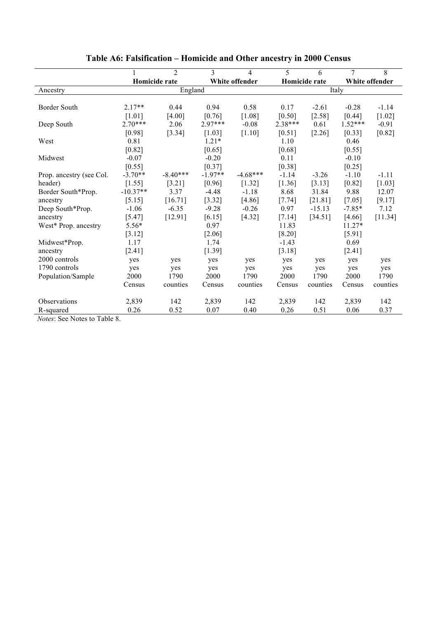|                                             |            | $\overline{2}$       | 3         | 4              | 5        | 6             | $\overline{7}$ | 8              |  |
|---------------------------------------------|------------|----------------------|-----------|----------------|----------|---------------|----------------|----------------|--|
|                                             |            | <b>Homicide rate</b> |           | White offender |          | Homicide rate |                | White offender |  |
| Ancestry                                    | England    |                      |           |                | Italy    |               |                |                |  |
|                                             |            |                      |           |                |          |               |                |                |  |
| Border South                                | $2.17**$   | 0.44                 | 0.94      | 0.58           | 0.17     | $-2.61$       | $-0.28$        | $-1.14$        |  |
|                                             | [1.01]     | [4.00]               | [0.76]    | $[1.08]$       | [0.50]   | $[2.58]$      | [0.44]         | $[1.02]$       |  |
| Deep South                                  | $2.70***$  | 2.06                 | $2.97***$ | $-0.08$        | 2.38***  | 0.61          | $1.52***$      | $-0.91$        |  |
|                                             | [0.98]     | [3.34]               | [1.03]    | [1.10]         | [0.51]   | [2.26]        | [0.33]         | [0.82]         |  |
| West                                        | 0.81       |                      | $1.21*$   |                | 1.10     |               | 0.46           |                |  |
|                                             | [0.82]     |                      | [0.65]    |                | [0.68]   |               | [0.55]         |                |  |
| Midwest                                     | $-0.07$    |                      | $-0.20$   |                | 0.11     |               | $-0.10$        |                |  |
|                                             | [0.55]     |                      | [0.37]    |                | [0.38]   |               | $[0.25]$       |                |  |
| Prop. ancestry (see Col.                    | $-3.70**$  | $-8.40***$           | $-1.97**$ | $-4.68***$     | $-1.14$  | $-3.26$       | $-1.10$        | $-1.11$        |  |
| header)                                     | [1.55]     | [3.21]               | [0.96]    | [1.32]         | [1.36]   | [3.13]        | [0.82]         | [1.03]         |  |
| Border South*Prop.                          | $-10.37**$ | 3.37                 | $-4.48$   | $-1.18$        | 8.68     | 31.84         | 9.88           | 12.07          |  |
| ancestry                                    | [5.15]     | [16.71]              | [3.32]    | [4.86]         | [7.74]   | [21.81]       | [7.05]         | [9.17]         |  |
| Deep South*Prop.                            | $-1.06$    | $-6.35$              | $-9.28$   | $-0.26$        | 0.97     | $-15.13$      | $-7.85*$       | 7.12           |  |
| ancestry                                    | [5.47]     | [12.91]              | [6.15]    | $[4.32]$       | $[7.14]$ | [34.51]       | [4.66]         | $[11.34]$      |  |
| West* Prop. ancestry                        | 5.56*      |                      | 0.97      |                | 11.83    |               | 11.27*         |                |  |
|                                             | $[3.12]$   |                      | $[2.06]$  |                | $[8.20]$ |               | [5.91]         |                |  |
| Midwest*Prop.                               | 1.17       |                      | 1.74      |                | $-1.43$  |               | 0.69           |                |  |
| ancestry                                    | [2.41]     |                      | [1.39]    |                | [3.18]   |               | $[2.41]$       |                |  |
| 2000 controls                               | yes        | yes                  | yes       | yes            | yes      | yes           | yes            | yes            |  |
| 1790 controls                               | yes        | yes                  | yes       | yes            | yes      | yes           | yes            | yes            |  |
| Population/Sample                           | 2000       | 1790                 | 2000      | 1790           | 2000     | 1790          | 2000           | 1790           |  |
|                                             | Census     | counties             | Census    | counties       | Census   | counties      | Census         | counties       |  |
| Observations                                | 2,839      | 142                  | 2,839     | 142            | 2,839    | 142           | 2,839          | 142            |  |
| R-squared<br>$\mathbf{X}$<br>$\sim$<br>T110 | 0.26       | 0.52                 | 0.07      | 0.40           | 0.26     | 0.51          | 0.06           | 0.37           |  |

# **Table A6: Falsification – Homicide and Other ancestry in 2000 Census**

*Notes*: See Notes to Table 8.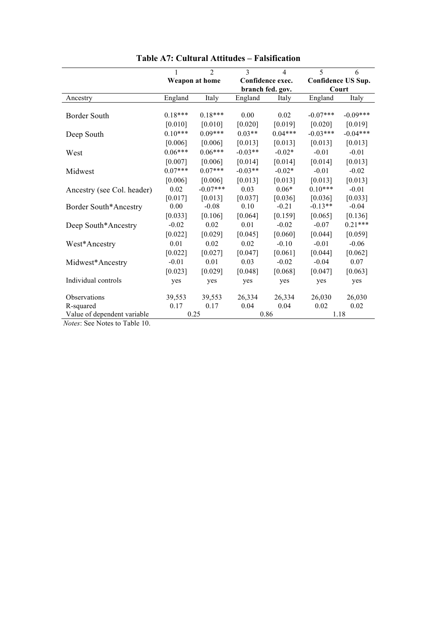|                             |           | $\mathfrak{D}$ | 3         | 4                | 5          | 6                  |
|-----------------------------|-----------|----------------|-----------|------------------|------------|--------------------|
|                             |           | Weapon at home |           | Confidence exec. |            | Confidence US Sup. |
|                             |           |                |           | branch fed. gov. |            | Court              |
| Ancestry                    | England   | Italy          | England   | Italy            | England    | Italy              |
| <b>Border South</b>         | $0.18***$ | $0.18***$      | 0.00      | 0.02             | $-0.07***$ | $-0.09***$         |
|                             | [0.010]   | [0.010]        | [0.020]   | [0.019]          | [0.020]    | [0.019]            |
| Deep South                  | $0.10***$ | $0.09***$      | $0.03**$  | $0.04***$        | $-0.03***$ | $-0.04***$         |
|                             | [0.006]   | [0.006]        | [0.013]   | [0.013]          | [0.013]    | [0.013]            |
| West                        | $0.06***$ | $0.06***$      | $-0.03**$ | $-0.02*$         | $-0.01$    | $-0.01$            |
|                             | [0.007]   | [0.006]        | [0.014]   | [0.014]          | [0.014]    | [0.013]            |
| Midwest                     | $0.07***$ | $0.07***$      | $-0.03**$ | $-0.02*$         | $-0.01$    | $-0.02$            |
|                             | [0.006]   | [0.006]        | [0.013]   | [0.013]          | [0.013]    | [0.013]            |
| Ancestry (see Col. header)  | 0.02      | $-0.07***$     | 0.03      | $0.06*$          | $0.10***$  | $-0.01$            |
|                             | [0.017]   | [0.013]        | [0.037]   | [0.036]          | [0.036]    | [0.033]            |
| Border South*Ancestry       | 0.00      | $-0.08$        | 0.10      | $-0.21$          | $-0.13**$  | $-0.04$            |
|                             | [0.033]   | [0.106]        | [0.064]   | [0.159]          | [0.065]    | [0.136]            |
| Deep South*Ancestry         | $-0.02$   | 0.02           | 0.01      | $-0.02$          | $-0.07$    | $0.21***$          |
|                             | [0.022]   | [0.029]        | [0.045]   | [0.060]          | [0.044]    | [0.059]            |
| West*Ancestry               | 0.01      | 0.02           | 0.02      | $-0.10$          | $-0.01$    | $-0.06$            |
|                             | [0.022]   | [0.027]        | [0.047]   | [0.061]          | [0.044]    | [0.062]            |
| Midwest*Ancestry            | $-0.01$   | 0.01           | 0.03      | $-0.02$          | $-0.04$    | 0.07               |
|                             | [0.023]   | [0.029]        | [0.048]   | [0.068]          | [0.047]    | [0.063]            |
| Individual controls         | yes       | yes            | yes       | yes              | yes        | yes                |
| Observations                | 39,553    | 39,553         | 26,334    | 26,334           | 26,030     | 26,030             |
| R-squared                   | 0.17      | 0.17           | 0.04      | 0.04             | 0.02       | 0.02               |
| Value of dependent variable |           | 0.25           |           | 0.86             |            | 1.18               |

**Table A7: Cultural Attitudes – Falsification**

*Notes*: See Notes to Table 10.